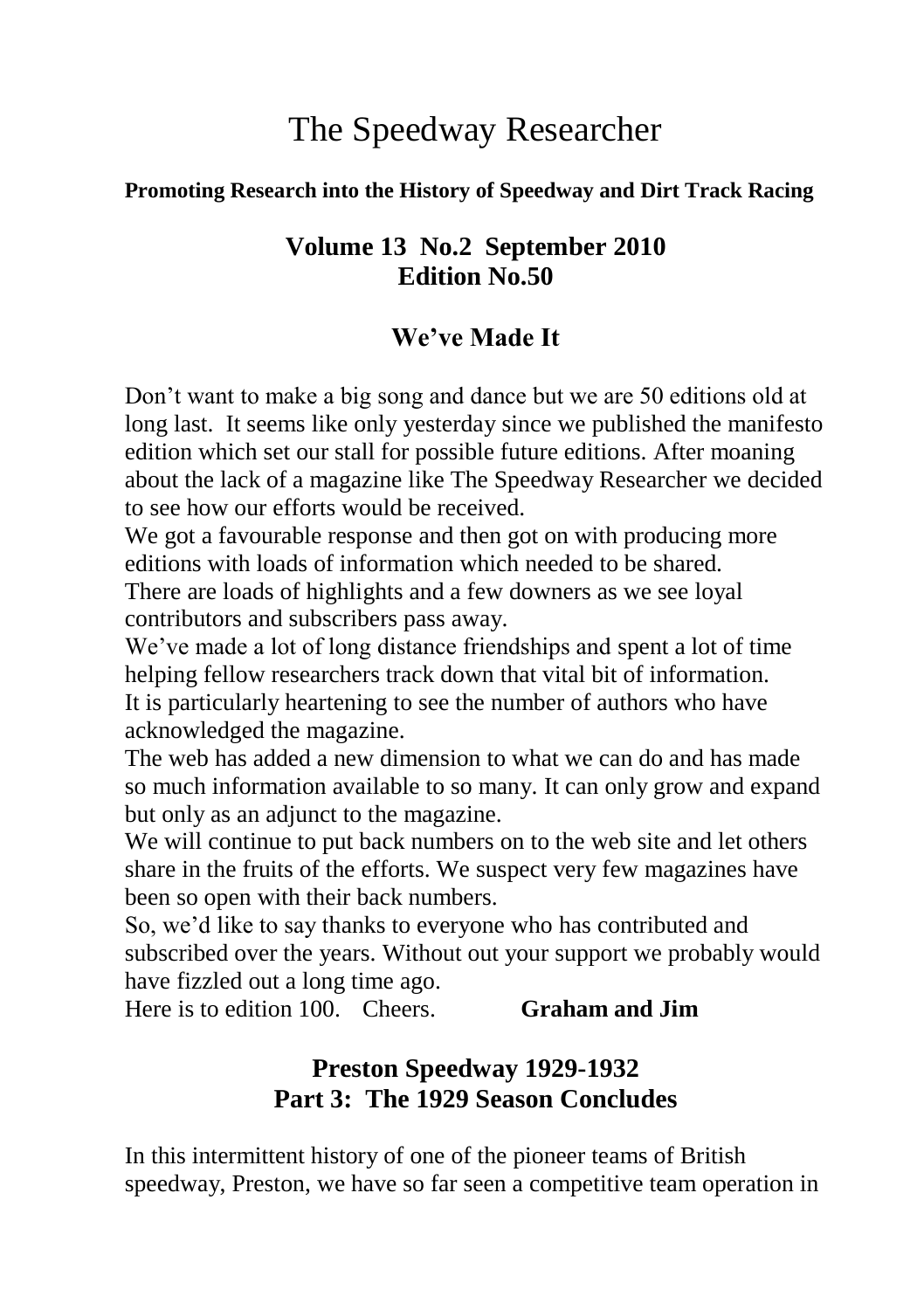# The Speedway Researcher

#### **Promoting Research into the History of Speedway and Dirt Track Racing**

### **Volume 13 No.2 September 2010 Edition No.50**

## **We've Made It**

Don't want to make a big song and dance but we are 50 editions old at long last. It seems like only yesterday since we published the manifesto edition which set our stall for possible future editions. After moaning about the lack of a magazine like The Speedway Researcher we decided to see how our efforts would be received.

We got a favourable response and then got on with producing more editions with loads of information which needed to be shared.

There are loads of highlights and a few downers as we see loyal contributors and subscribers pass away.

We've made a lot of long distance friendships and spent a lot of time helping fellow researchers track down that vital bit of information. It is particularly heartening to see the number of authors who have acknowledged the magazine.

The web has added a new dimension to what we can do and has made so much information available to so many. It can only grow and expand but only as an adjunct to the magazine.

We will continue to put back numbers on to the web site and let others share in the fruits of the efforts. We suspect very few magazines have been so open with their back numbers.

So, we'd like to say thanks to everyone who has contributed and subscribed over the years. Without out your support we probably would have fizzled out a long time ago.

Here is to edition 100. Cheers. **Graham and Jim**

## **Preston Speedway 1929-1932 Part 3: The 1929 Season Concludes**

In this intermittent history of one of the pioneer teams of British speedway, Preston, we have so far seen a competitive team operation in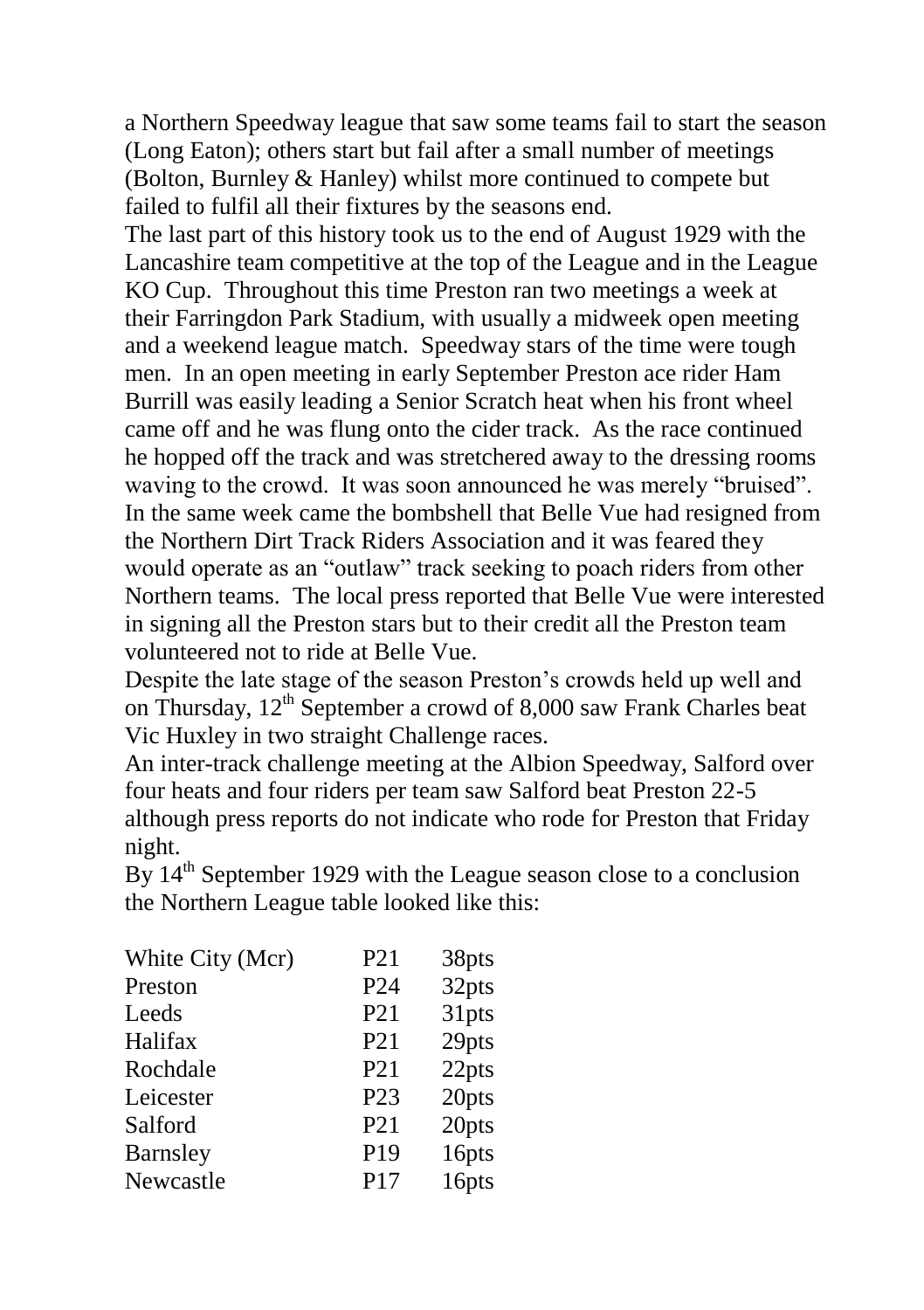a Northern Speedway league that saw some teams fail to start the season (Long Eaton); others start but fail after a small number of meetings (Bolton, Burnley & Hanley) whilst more continued to compete but failed to fulfil all their fixtures by the seasons end.

The last part of this history took us to the end of August 1929 with the Lancashire team competitive at the top of the League and in the League KO Cup. Throughout this time Preston ran two meetings a week at their Farringdon Park Stadium, with usually a midweek open meeting and a weekend league match. Speedway stars of the time were tough men. In an open meeting in early September Preston ace rider Ham Burrill was easily leading a Senior Scratch heat when his front wheel came off and he was flung onto the cider track. As the race continued he hopped off the track and was stretchered away to the dressing rooms waving to the crowd. It was soon announced he was merely "bruised". In the same week came the bombshell that Belle Vue had resigned from the Northern Dirt Track Riders Association and it was feared they would operate as an "outlaw" track seeking to poach riders from other Northern teams. The local press reported that Belle Vue were interested in signing all the Preston stars but to their credit all the Preston team volunteered not to ride at Belle Vue.

Despite the late stage of the season Preston's crowds held up well and on Thursday,  $12^{th}$  September a crowd of 8,000 saw Frank Charles beat Vic Huxley in two straight Challenge races.

An inter-track challenge meeting at the Albion Speedway, Salford over four heats and four riders per team saw Salford beat Preston 22-5 although press reports do not indicate who rode for Preston that Friday night.

By  $14<sup>th</sup>$  September 1929 with the League season close to a conclusion the Northern League table looked like this:

| White City (Mcr) | P <sub>21</sub> | 38pts |
|------------------|-----------------|-------|
| Preston          | P <sub>24</sub> | 32pts |
| Leeds            | P <sub>21</sub> | 31pts |
| Halifax          | P <sub>21</sub> | 29pts |
| Rochdale         | P <sub>21</sub> | 22pts |
| Leicester        | P23             | 20pts |
| Salford          | P <sub>21</sub> | 20pts |
| <b>Barnsley</b>  | P <sub>19</sub> | 16pts |
| Newcastle        | P17             | 16pts |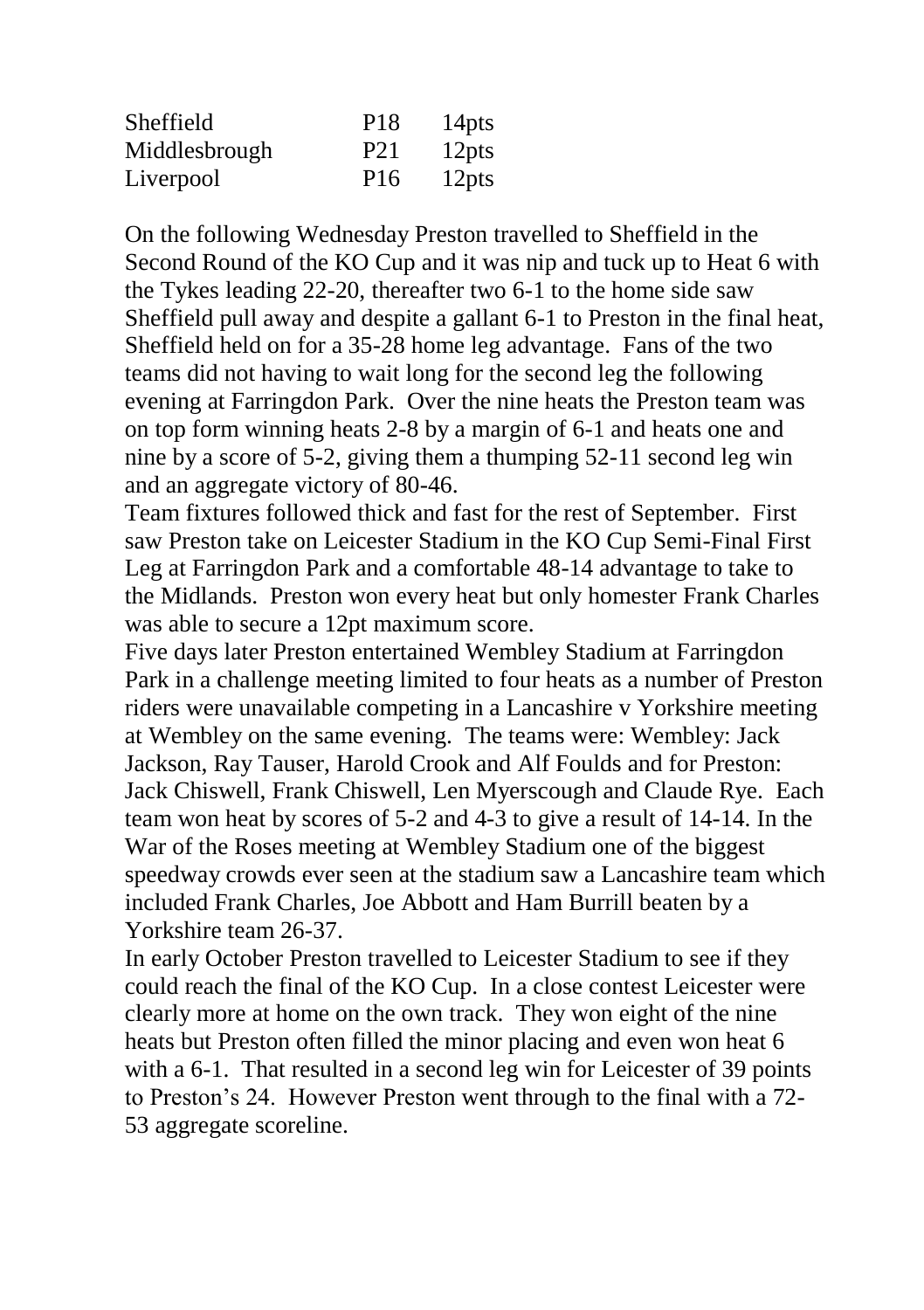| Sheffield     | P <sub>18</sub> | 14 <sub>pts</sub> |
|---------------|-----------------|-------------------|
| Middlesbrough | P <sub>21</sub> | 12 <sub>pts</sub> |
| Liverpool     | P <sub>16</sub> | 12 <sub>pts</sub> |

On the following Wednesday Preston travelled to Sheffield in the Second Round of the KO Cup and it was nip and tuck up to Heat 6 with the Tykes leading 22-20, thereafter two 6-1 to the home side saw Sheffield pull away and despite a gallant 6-1 to Preston in the final heat, Sheffield held on for a 35-28 home leg advantage. Fans of the two teams did not having to wait long for the second leg the following evening at Farringdon Park. Over the nine heats the Preston team was on top form winning heats 2-8 by a margin of 6-1 and heats one and nine by a score of 5-2, giving them a thumping 52-11 second leg win and an aggregate victory of 80-46.

Team fixtures followed thick and fast for the rest of September. First saw Preston take on Leicester Stadium in the KO Cup Semi-Final First Leg at Farringdon Park and a comfortable 48-14 advantage to take to the Midlands. Preston won every heat but only homester Frank Charles was able to secure a 12pt maximum score.

Five days later Preston entertained Wembley Stadium at Farringdon Park in a challenge meeting limited to four heats as a number of Preston riders were unavailable competing in a Lancashire v Yorkshire meeting at Wembley on the same evening. The teams were: Wembley: Jack Jackson, Ray Tauser, Harold Crook and Alf Foulds and for Preston: Jack Chiswell, Frank Chiswell, Len Myerscough and Claude Rye. Each team won heat by scores of 5-2 and 4-3 to give a result of 14-14. In the War of the Roses meeting at Wembley Stadium one of the biggest speedway crowds ever seen at the stadium saw a Lancashire team which included Frank Charles, Joe Abbott and Ham Burrill beaten by a Yorkshire team 26-37.

In early October Preston travelled to Leicester Stadium to see if they could reach the final of the KO Cup. In a close contest Leicester were clearly more at home on the own track. They won eight of the nine heats but Preston often filled the minor placing and even won heat 6 with a 6-1. That resulted in a second leg win for Leicester of 39 points to Preston's 24. However Preston went through to the final with a 72- 53 aggregate scoreline.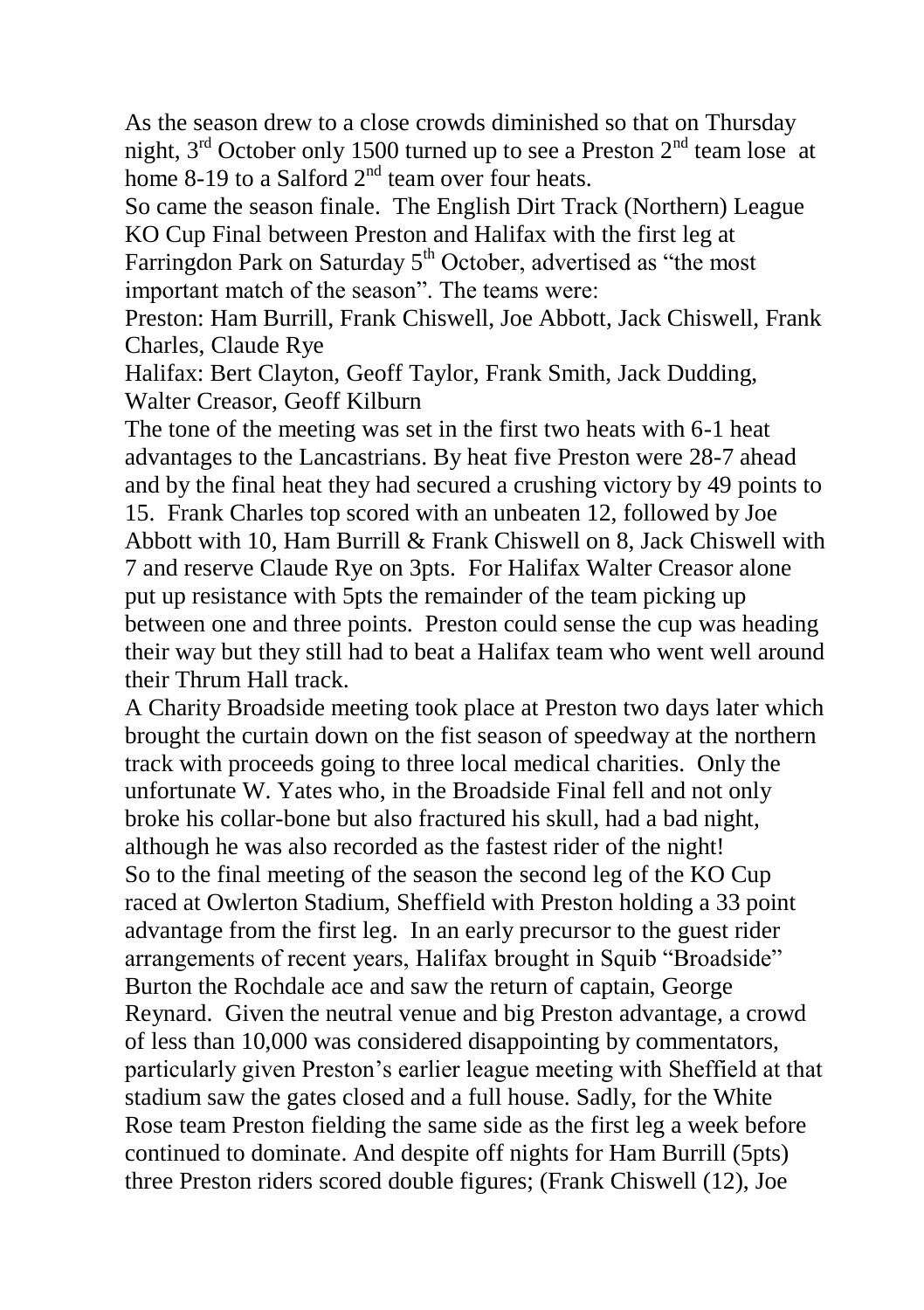As the season drew to a close crowds diminished so that on Thursday night,  $3<sup>rd</sup>$  October only 1500 turned up to see a Preston  $2<sup>nd</sup>$  team lose at home 8-19 to a Salford  $2<sup>nd</sup>$  team over four heats.

So came the season finale. The English Dirt Track (Northern) League KO Cup Final between Preston and Halifax with the first leg at Farringdon Park on Saturday 5<sup>th</sup> October, advertised as "the most important match of the season". The teams were:

Preston: Ham Burrill, Frank Chiswell, Joe Abbott, Jack Chiswell, Frank Charles, Claude Rye

Halifax: Bert Clayton, Geoff Taylor, Frank Smith, Jack Dudding, Walter Creasor, Geoff Kilburn

The tone of the meeting was set in the first two heats with 6-1 heat advantages to the Lancastrians. By heat five Preston were 28-7 ahead and by the final heat they had secured a crushing victory by 49 points to 15. Frank Charles top scored with an unbeaten 12, followed by Joe Abbott with 10, Ham Burrill & Frank Chiswell on 8, Jack Chiswell with 7 and reserve Claude Rye on 3pts. For Halifax Walter Creasor alone put up resistance with 5pts the remainder of the team picking up between one and three points. Preston could sense the cup was heading their way but they still had to beat a Halifax team who went well around their Thrum Hall track.

A Charity Broadside meeting took place at Preston two days later which brought the curtain down on the fist season of speedway at the northern track with proceeds going to three local medical charities. Only the unfortunate W. Yates who, in the Broadside Final fell and not only broke his collar-bone but also fractured his skull, had a bad night, although he was also recorded as the fastest rider of the night! So to the final meeting of the season the second leg of the KO Cup raced at Owlerton Stadium, Sheffield with Preston holding a 33 point advantage from the first leg. In an early precursor to the guest rider arrangements of recent years, Halifax brought in Squib "Broadside" Burton the Rochdale ace and saw the return of captain, George Reynard. Given the neutral venue and big Preston advantage, a crowd of less than 10,000 was considered disappointing by commentators, particularly given Preston's earlier league meeting with Sheffield at that stadium saw the gates closed and a full house. Sadly, for the White Rose team Preston fielding the same side as the first leg a week before continued to dominate. And despite off nights for Ham Burrill (5pts) three Preston riders scored double figures; (Frank Chiswell (12), Joe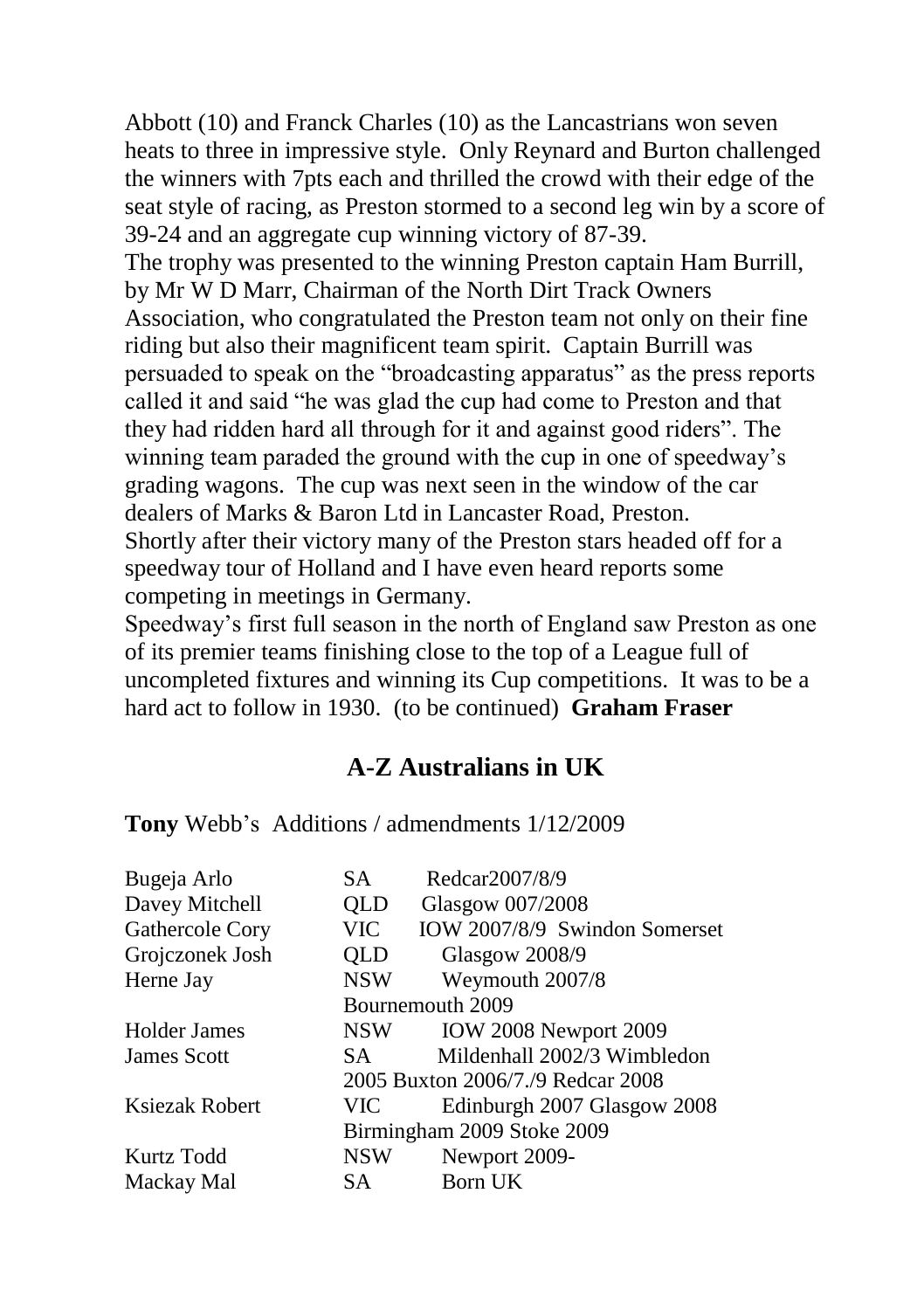Abbott (10) and Franck Charles (10) as the Lancastrians won seven heats to three in impressive style. Only Reynard and Burton challenged the winners with 7pts each and thrilled the crowd with their edge of the seat style of racing, as Preston stormed to a second leg win by a score of 39-24 and an aggregate cup winning victory of 87-39.

The trophy was presented to the winning Preston captain Ham Burrill, by Mr W D Marr, Chairman of the North Dirt Track Owners Association, who congratulated the Preston team not only on their fine riding but also their magnificent team spirit. Captain Burrill was persuaded to speak on the "broadcasting apparatus" as the press reports called it and said "he was glad the cup had come to Preston and that they had ridden hard all through for it and against good riders". The winning team paraded the ground with the cup in one of speedway's grading wagons. The cup was next seen in the window of the car dealers of Marks & Baron Ltd in Lancaster Road, Preston. Shortly after their victory many of the Preston stars headed off for a speedway tour of Holland and I have even heard reports some competing in meetings in Germany.

Speedway's first full season in the north of England saw Preston as one of its premier teams finishing close to the top of a League full of uncompleted fixtures and winning its Cup competitions. It was to be a hard act to follow in 1930. (to be continued) **Graham Fraser**

#### **A-Z Australians in UK**

**Tony** Webb's Additions / admendments 1/12/2009

| SА                                | Redcar2007/8/9                |  |
|-----------------------------------|-------------------------------|--|
| OLD                               | Glasgow 007/2008              |  |
| VIC.                              | IOW 2007/8/9 Swindon Somerset |  |
| <b>QLD</b>                        | <b>Glasgow 2008/9</b>         |  |
| <b>NSW</b>                        | Weymouth 2007/8               |  |
| Bournemouth 2009                  |                               |  |
| <b>NSW</b>                        | IOW 2008 Newport 2009         |  |
| SA.                               | Mildenhall 2002/3 Wimbledon   |  |
| 2005 Buxton 2006/7./9 Redcar 2008 |                               |  |
| <b>VIC</b>                        | Edinburgh 2007 Glasgow 2008   |  |
| Birmingham 2009 Stoke 2009        |                               |  |
| NSW                               | Newport 2009-                 |  |
| SA.                               | Born UK                       |  |
|                                   |                               |  |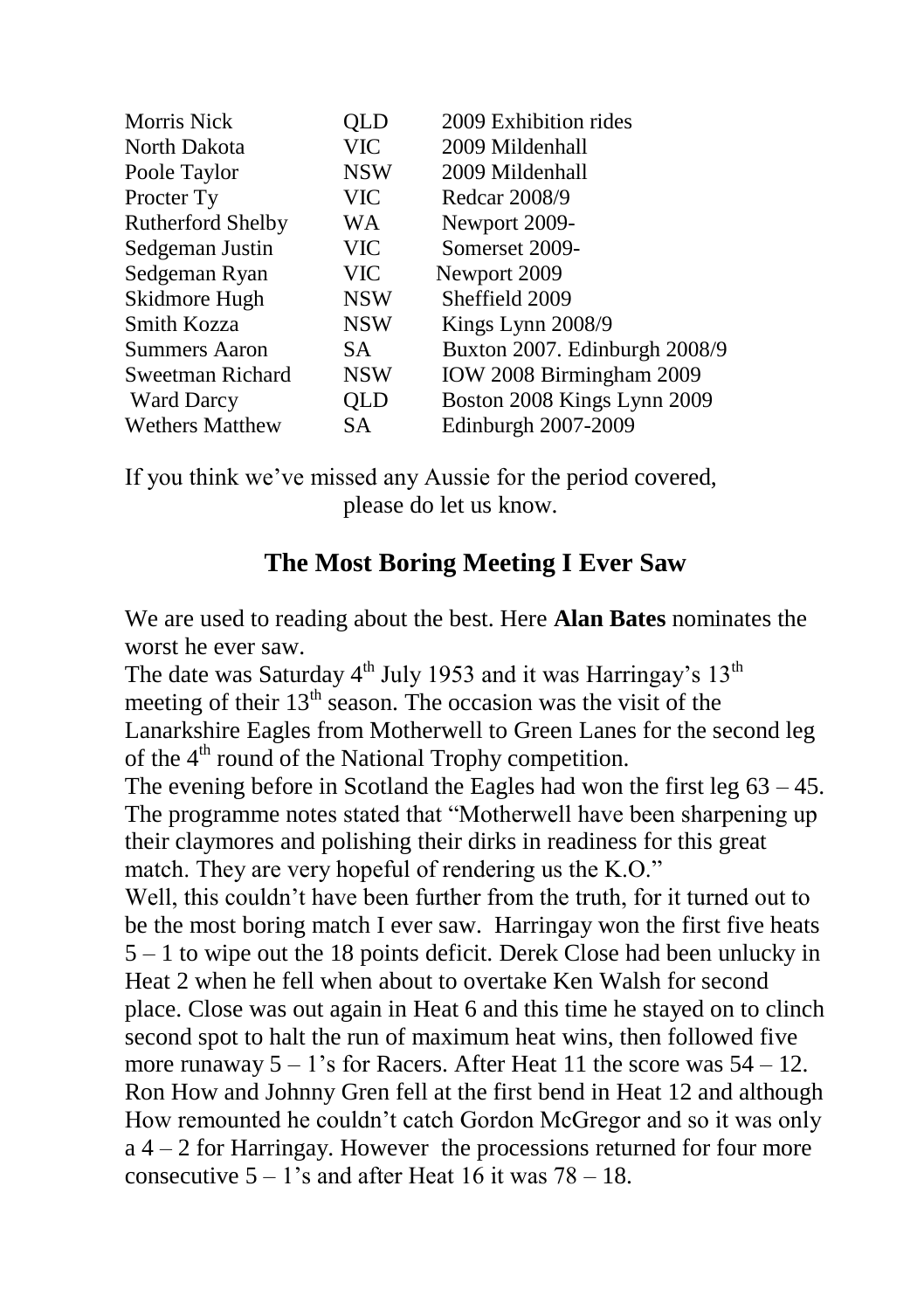| QLD        | 2009 Exhibition rides         |
|------------|-------------------------------|
| VIC        | 2009 Mildenhall               |
| <b>NSW</b> | 2009 Mildenhall               |
| <b>VIC</b> | Redcar 2008/9                 |
| WA         | Newport 2009-                 |
| VIC-       | Somerset 2009-                |
| <b>VIC</b> | Newport 2009                  |
| <b>NSW</b> | Sheffield 2009                |
| <b>NSW</b> | Kings Lynn 2008/9             |
| SA.        | Buxton 2007. Edinburgh 2008/9 |
| <b>NSW</b> | IOW 2008 Birmingham 2009      |
| QLD        | Boston 2008 Kings Lynn 2009   |
| SA.        | Edinburgh 2007-2009           |
|            |                               |

If you think we've missed any Aussie for the period covered, please do let us know.

#### **The Most Boring Meeting I Ever Saw**

We are used to reading about the best. Here **Alan Bates** nominates the worst he ever saw.

The date was Saturday  $4<sup>th</sup>$  July 1953 and it was Harringay's  $13<sup>th</sup>$ meeting of their  $13<sup>th</sup>$  season. The occasion was the visit of the Lanarkshire Eagles from Motherwell to Green Lanes for the second leg of the  $4<sup>th</sup>$  round of the National Trophy competition. The evening before in Scotland the Eagles had won the first leg 63 – 45. The programme notes stated that "Motherwell have been sharpening up their claymores and polishing their dirks in readiness for this great match. They are very hopeful of rendering us the K.O." Well, this couldn't have been further from the truth, for it turned out to be the most boring match I ever saw. Harringay won the first five heats 5 – 1 to wipe out the 18 points deficit. Derek Close had been unlucky in Heat 2 when he fell when about to overtake Ken Walsh for second place. Close was out again in Heat 6 and this time he stayed on to clinch second spot to halt the run of maximum heat wins, then followed five more runaway  $5 - 1$ 's for Racers. After Heat 11 the score was  $54 - 12$ . Ron How and Johnny Gren fell at the first bend in Heat 12 and although How remounted he couldn't catch Gordon McGregor and so it was only a 4 – 2 for Harringay. However the processions returned for four more consecutive  $5 - 1$ 's and after Heat  $16$  it was  $78 - 18$ .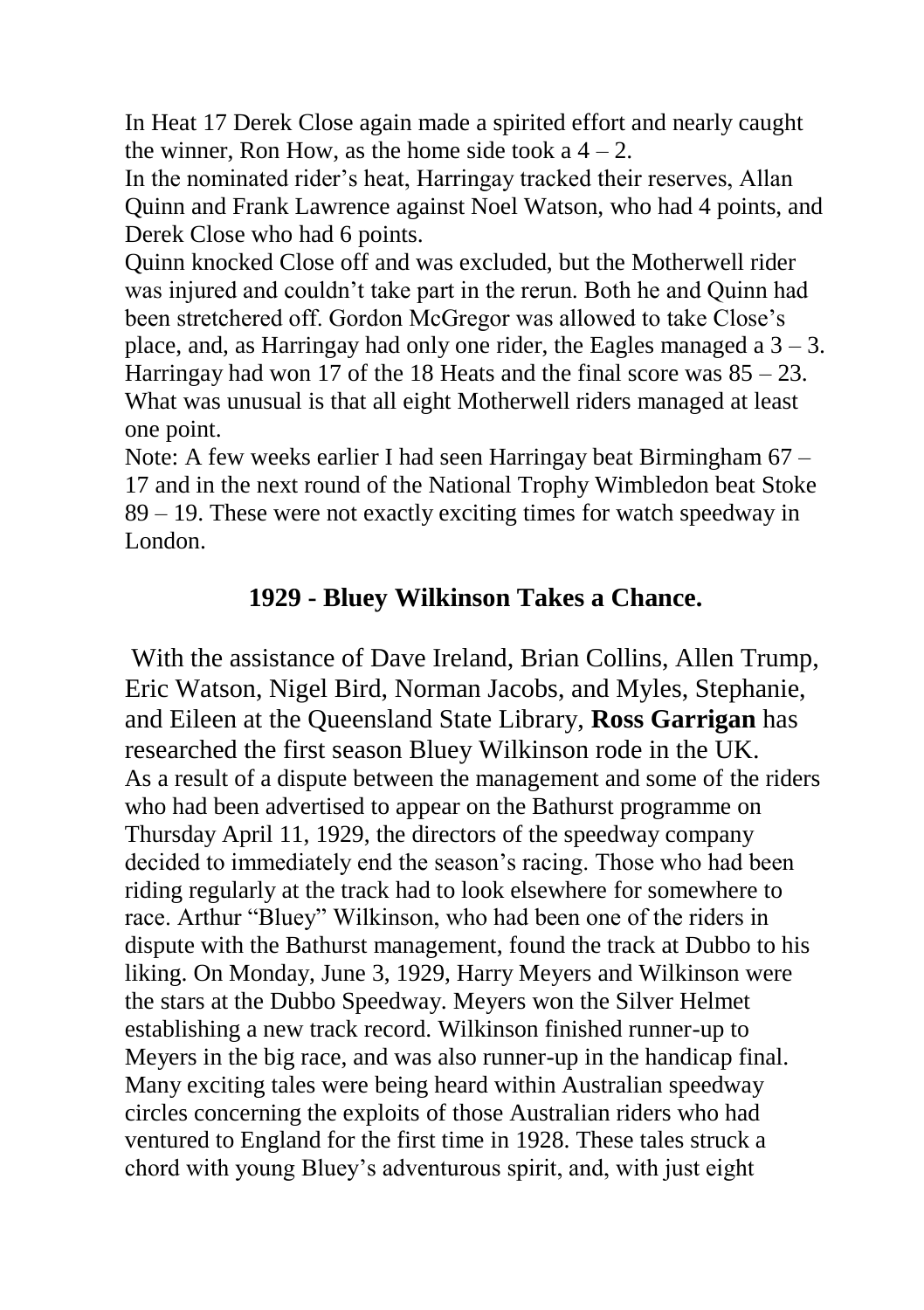In Heat 17 Derek Close again made a spirited effort and nearly caught the winner. Ron How, as the home side took  $a$  4 – 2.

In the nominated rider's heat, Harringay tracked their reserves, Allan Quinn and Frank Lawrence against Noel Watson, who had 4 points, and Derek Close who had 6 points.

Quinn knocked Close off and was excluded, but the Motherwell rider was injured and couldn't take part in the rerun. Both he and Quinn had been stretchered off. Gordon McGregor was allowed to take Close's place, and, as Harringay had only one rider, the Eagles managed a  $3 - 3$ . Harringay had won 17 of the 18 Heats and the final score was  $85 - 23$ . What was unusual is that all eight Motherwell riders managed at least one point.

Note: A few weeks earlier I had seen Harringay beat Birmingham 67 – 17 and in the next round of the National Trophy Wimbledon beat Stoke 89 – 19. These were not exactly exciting times for watch speedway in London.

## **1929 - Bluey Wilkinson Takes a Chance.**

With the assistance of Dave Ireland, Brian Collins, Allen Trump, Eric Watson, Nigel Bird, Norman Jacobs, and Myles, Stephanie, and Eileen at the Queensland State Library, **Ross Garrigan** has researched the first season Bluey Wilkinson rode in the UK. As a result of a dispute between the management and some of the riders who had been advertised to appear on the Bathurst programme on Thursday April 11, 1929, the directors of the speedway company decided to immediately end the season's racing. Those who had been riding regularly at the track had to look elsewhere for somewhere to race. Arthur "Bluey" Wilkinson, who had been one of the riders in dispute with the Bathurst management, found the track at Dubbo to his liking. On Monday, June 3, 1929, Harry Meyers and Wilkinson were the stars at the Dubbo Speedway. Meyers won the Silver Helmet establishing a new track record. Wilkinson finished runner-up to Meyers in the big race, and was also runner-up in the handicap final. Many exciting tales were being heard within Australian speedway circles concerning the exploits of those Australian riders who had ventured to England for the first time in 1928. These tales struck a chord with young Bluey's adventurous spirit, and, with just eight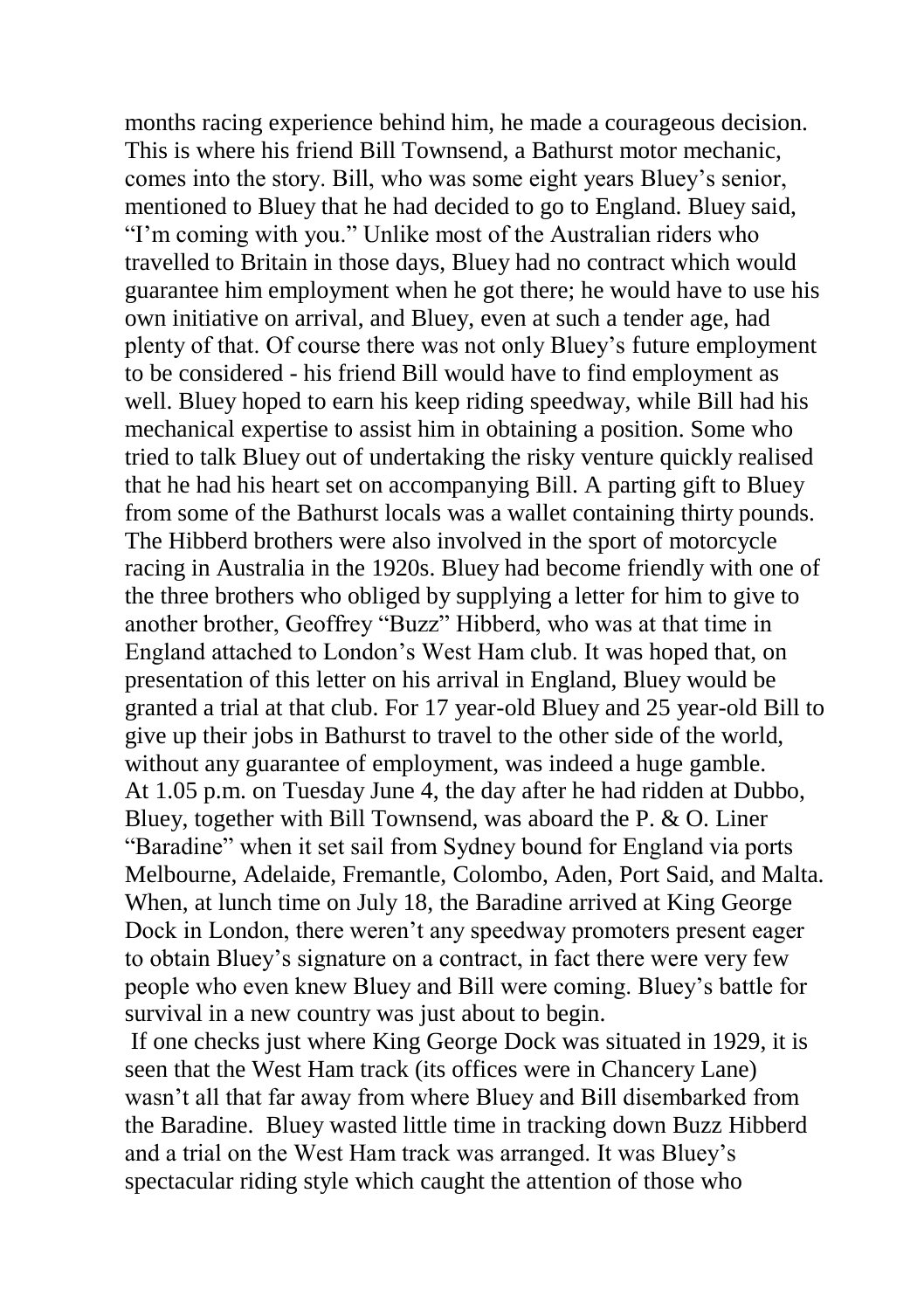months racing experience behind him, he made a courageous decision. This is where his friend Bill Townsend, a Bathurst motor mechanic, comes into the story. Bill, who was some eight years Bluey's senior, mentioned to Bluey that he had decided to go to England. Bluey said, "I'm coming with you." Unlike most of the Australian riders who travelled to Britain in those days, Bluey had no contract which would guarantee him employment when he got there; he would have to use his own initiative on arrival, and Bluey, even at such a tender age, had plenty of that. Of course there was not only Bluey's future employment to be considered - his friend Bill would have to find employment as well. Bluey hoped to earn his keep riding speedway, while Bill had his mechanical expertise to assist him in obtaining a position. Some who tried to talk Bluey out of undertaking the risky venture quickly realised that he had his heart set on accompanying Bill. A parting gift to Bluey from some of the Bathurst locals was a wallet containing thirty pounds. The Hibberd brothers were also involved in the sport of motorcycle racing in Australia in the 1920s. Bluey had become friendly with one of the three brothers who obliged by supplying a letter for him to give to another brother, Geoffrey "Buzz" Hibberd, who was at that time in England attached to London's West Ham club. It was hoped that, on presentation of this letter on his arrival in England, Bluey would be granted a trial at that club. For 17 year-old Bluey and 25 year-old Bill to give up their jobs in Bathurst to travel to the other side of the world, without any guarantee of employment, was indeed a huge gamble. At 1.05 p.m. on Tuesday June 4, the day after he had ridden at Dubbo, Bluey, together with Bill Townsend, was aboard the P. & O. Liner "Baradine" when it set sail from Sydney bound for England via ports Melbourne, Adelaide, Fremantle, Colombo, Aden, Port Said, and Malta. When, at lunch time on July 18, the Baradine arrived at King George Dock in London, there weren't any speedway promoters present eager to obtain Bluey's signature on a contract, in fact there were very few people who even knew Bluey and Bill were coming. Bluey's battle for survival in a new country was just about to begin.

If one checks just where King George Dock was situated in 1929, it is seen that the West Ham track (its offices were in Chancery Lane) wasn't all that far away from where Bluey and Bill disembarked from the Baradine. Bluey wasted little time in tracking down Buzz Hibberd and a trial on the West Ham track was arranged. It was Bluey's spectacular riding style which caught the attention of those who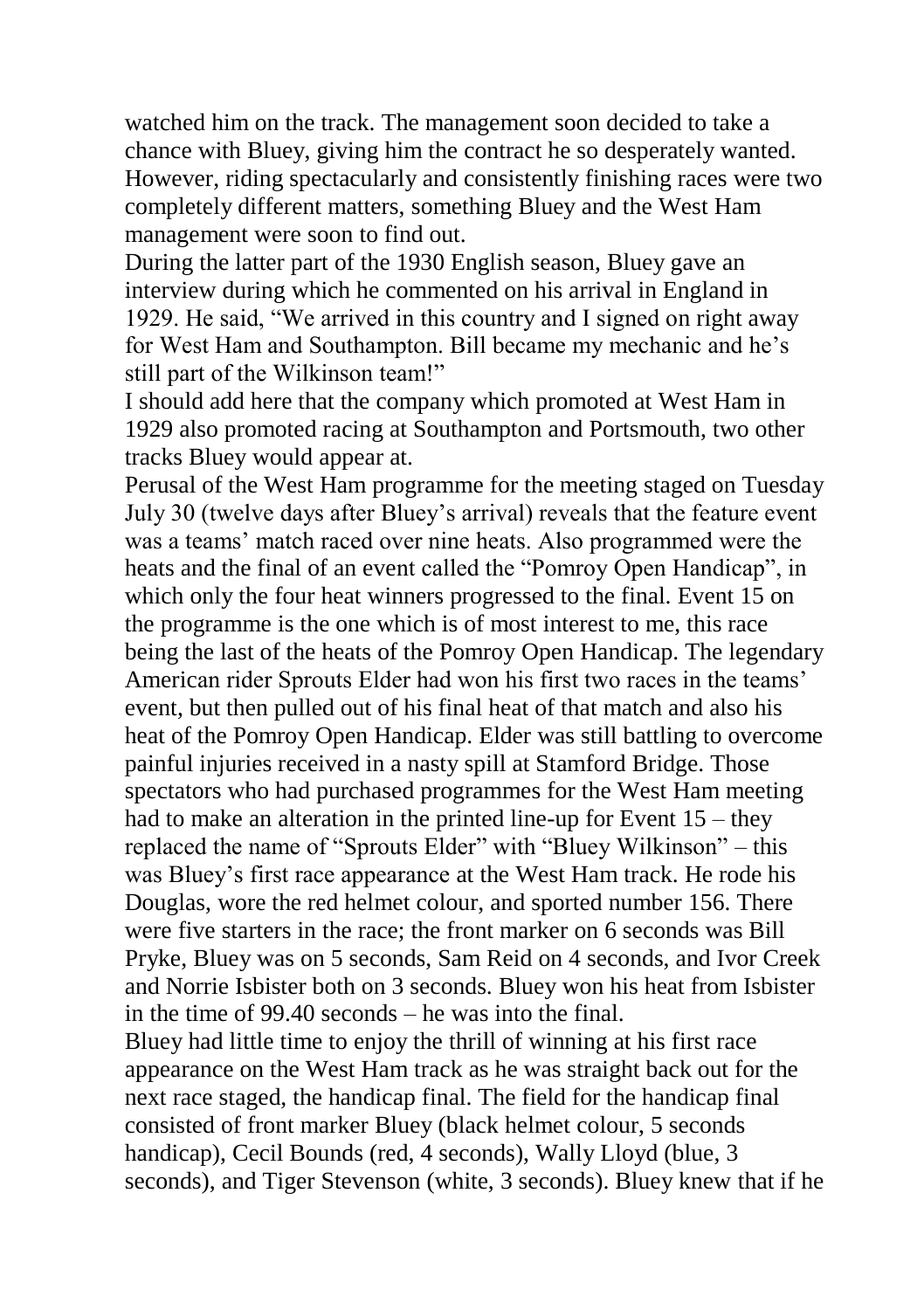watched him on the track. The management soon decided to take a chance with Bluey, giving him the contract he so desperately wanted. However, riding spectacularly and consistently finishing races were two completely different matters, something Bluey and the West Ham management were soon to find out.

During the latter part of the 1930 English season, Bluey gave an interview during which he commented on his arrival in England in 1929. He said, "We arrived in this country and I signed on right away for West Ham and Southampton. Bill became my mechanic and he's still part of the Wilkinson team!"

I should add here that the company which promoted at West Ham in 1929 also promoted racing at Southampton and Portsmouth, two other tracks Bluey would appear at.

Perusal of the West Ham programme for the meeting staged on Tuesday July 30 (twelve days after Bluey's arrival) reveals that the feature event was a teams' match raced over nine heats. Also programmed were the heats and the final of an event called the "Pomroy Open Handicap", in which only the four heat winners progressed to the final. Event 15 on the programme is the one which is of most interest to me, this race being the last of the heats of the Pomroy Open Handicap. The legendary American rider Sprouts Elder had won his first two races in the teams' event, but then pulled out of his final heat of that match and also his heat of the Pomroy Open Handicap. Elder was still battling to overcome painful injuries received in a nasty spill at Stamford Bridge. Those spectators who had purchased programmes for the West Ham meeting had to make an alteration in the printed line-up for Event 15 – they replaced the name of "Sprouts Elder" with "Bluey Wilkinson" – this was Bluey's first race appearance at the West Ham track. He rode his Douglas, wore the red helmet colour, and sported number 156. There were five starters in the race; the front marker on 6 seconds was Bill Pryke, Bluey was on 5 seconds, Sam Reid on 4 seconds, and Ivor Creek and Norrie Isbister both on 3 seconds. Bluey won his heat from Isbister in the time of 99.40 seconds – he was into the final.

Bluey had little time to enjoy the thrill of winning at his first race appearance on the West Ham track as he was straight back out for the next race staged, the handicap final. The field for the handicap final consisted of front marker Bluey (black helmet colour, 5 seconds handicap), Cecil Bounds (red, 4 seconds), Wally Lloyd (blue, 3 seconds), and Tiger Stevenson (white, 3 seconds). Bluey knew that if he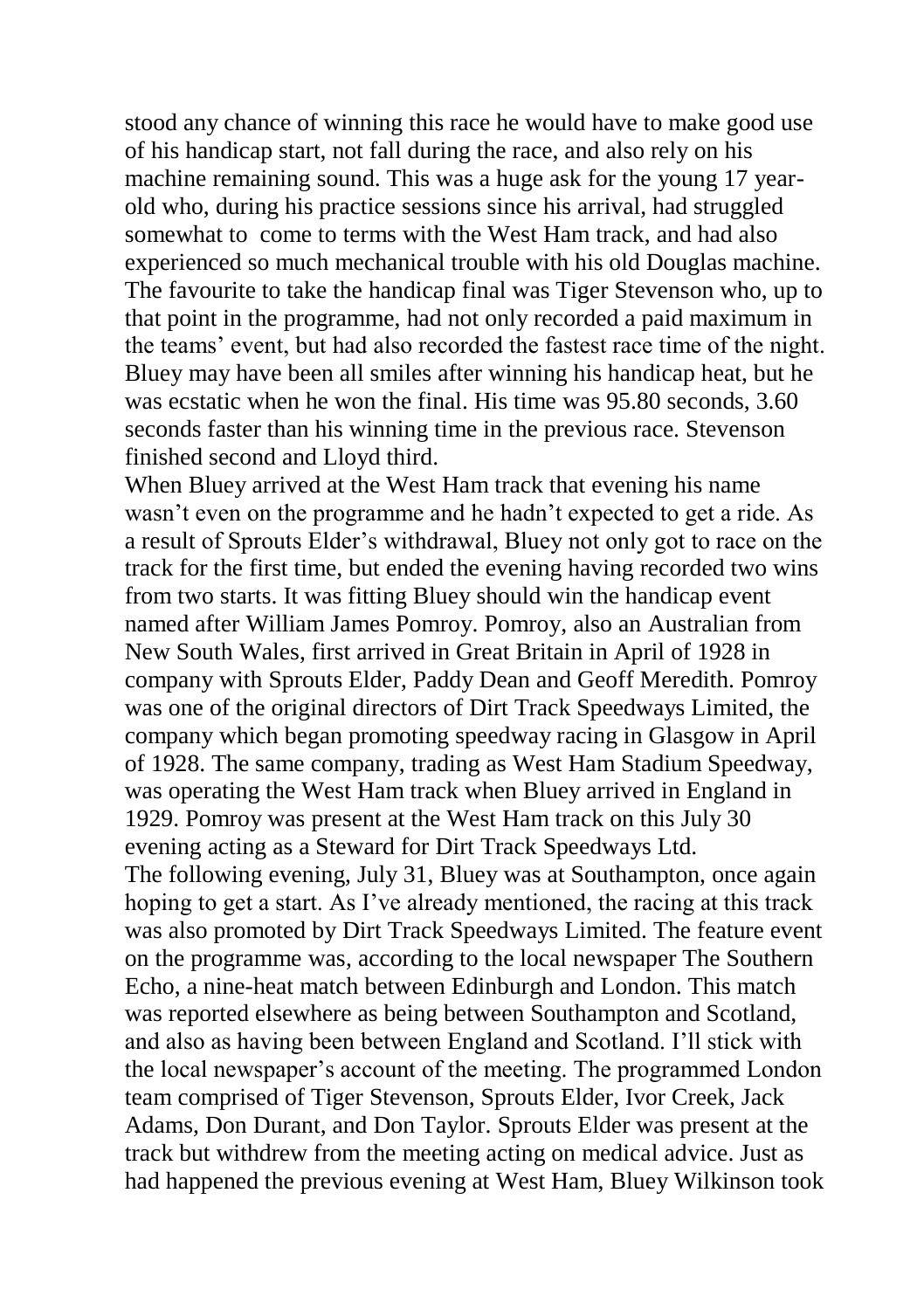stood any chance of winning this race he would have to make good use of his handicap start, not fall during the race, and also rely on his machine remaining sound. This was a huge ask for the young 17 yearold who, during his practice sessions since his arrival, had struggled somewhat to come to terms with the West Ham track, and had also experienced so much mechanical trouble with his old Douglas machine. The favourite to take the handicap final was Tiger Stevenson who, up to that point in the programme, had not only recorded a paid maximum in the teams' event, but had also recorded the fastest race time of the night. Bluey may have been all smiles after winning his handicap heat, but he was ecstatic when he won the final. His time was 95.80 seconds, 3.60 seconds faster than his winning time in the previous race. Stevenson finished second and Lloyd third.

When Bluey arrived at the West Ham track that evening his name wasn't even on the programme and he hadn't expected to get a ride. As a result of Sprouts Elder's withdrawal, Bluey not only got to race on the track for the first time, but ended the evening having recorded two wins from two starts. It was fitting Bluey should win the handicap event named after William James Pomroy. Pomroy, also an Australian from New South Wales, first arrived in Great Britain in April of 1928 in company with Sprouts Elder, Paddy Dean and Geoff Meredith. Pomroy was one of the original directors of Dirt Track Speedways Limited, the company which began promoting speedway racing in Glasgow in April of 1928. The same company, trading as West Ham Stadium Speedway, was operating the West Ham track when Bluey arrived in England in 1929. Pomroy was present at the West Ham track on this July 30 evening acting as a Steward for Dirt Track Speedways Ltd. The following evening, July 31, Bluey was at Southampton, once again hoping to get a start. As I've already mentioned, the racing at this track was also promoted by Dirt Track Speedways Limited. The feature event on the programme was, according to the local newspaper The Southern Echo, a nine-heat match between Edinburgh and London. This match was reported elsewhere as being between Southampton and Scotland, and also as having been between England and Scotland. I'll stick with the local newspaper's account of the meeting. The programmed London team comprised of Tiger Stevenson, Sprouts Elder, Ivor Creek, Jack Adams, Don Durant, and Don Taylor. Sprouts Elder was present at the track but withdrew from the meeting acting on medical advice. Just as had happened the previous evening at West Ham, Bluey Wilkinson took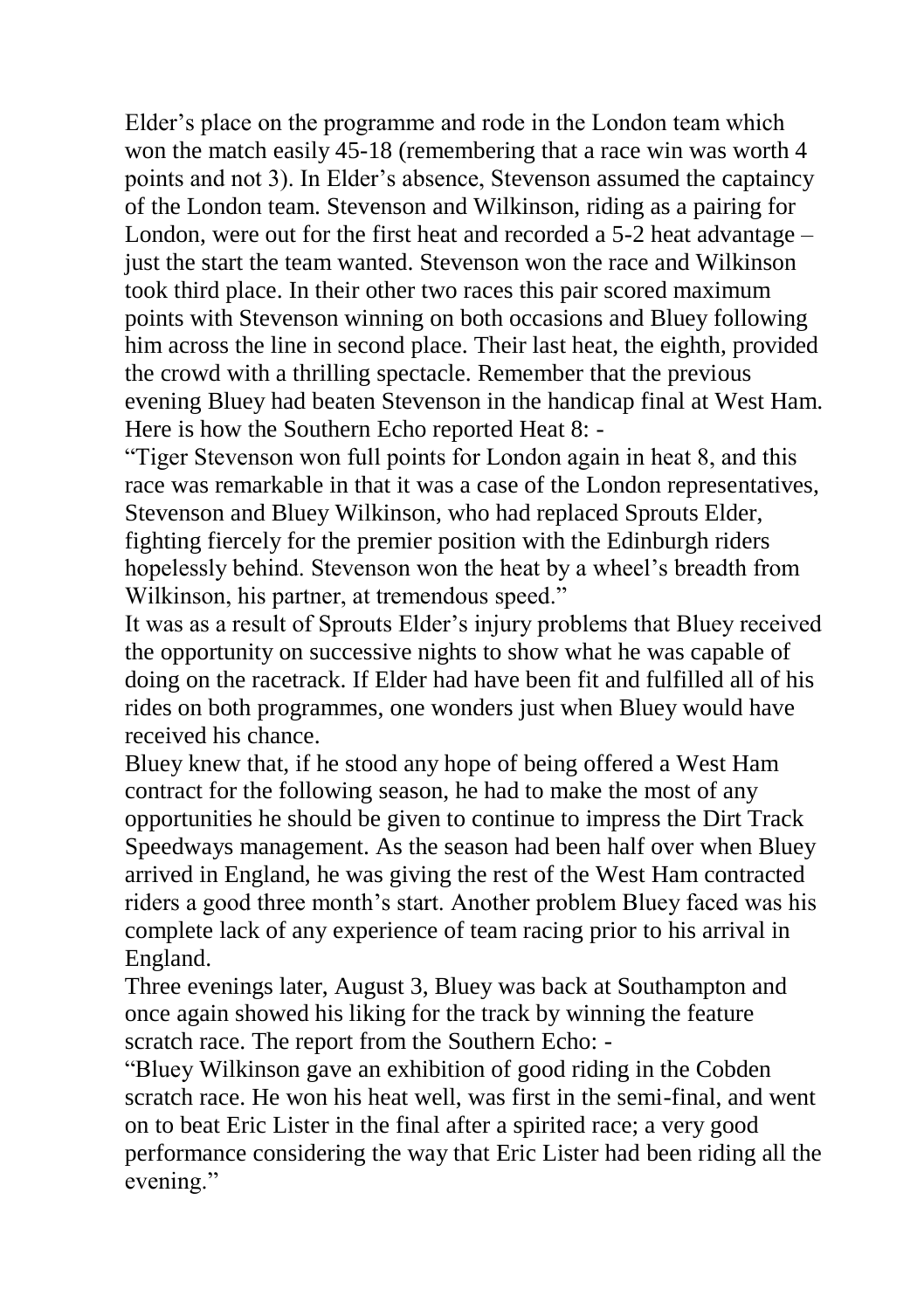Elder's place on the programme and rode in the London team which won the match easily 45-18 (remembering that a race win was worth 4 points and not 3). In Elder's absence, Stevenson assumed the captaincy of the London team. Stevenson and Wilkinson, riding as a pairing for London, were out for the first heat and recorded a 5-2 heat advantage – just the start the team wanted. Stevenson won the race and Wilkinson took third place. In their other two races this pair scored maximum points with Stevenson winning on both occasions and Bluey following him across the line in second place. Their last heat, the eighth, provided the crowd with a thrilling spectacle. Remember that the previous evening Bluey had beaten Stevenson in the handicap final at West Ham. Here is how the Southern Echo reported Heat 8: -

"Tiger Stevenson won full points for London again in heat 8, and this race was remarkable in that it was a case of the London representatives, Stevenson and Bluey Wilkinson, who had replaced Sprouts Elder, fighting fiercely for the premier position with the Edinburgh riders hopelessly behind. Stevenson won the heat by a wheel's breadth from Wilkinson, his partner, at tremendous speed."

It was as a result of Sprouts Elder's injury problems that Bluey received the opportunity on successive nights to show what he was capable of doing on the racetrack. If Elder had have been fit and fulfilled all of his rides on both programmes, one wonders just when Bluey would have received his chance.

Bluey knew that, if he stood any hope of being offered a West Ham contract for the following season, he had to make the most of any opportunities he should be given to continue to impress the Dirt Track Speedways management. As the season had been half over when Bluey arrived in England, he was giving the rest of the West Ham contracted riders a good three month's start. Another problem Bluey faced was his complete lack of any experience of team racing prior to his arrival in England.

Three evenings later, August 3, Bluey was back at Southampton and once again showed his liking for the track by winning the feature scratch race. The report from the Southern Echo: -

"Bluey Wilkinson gave an exhibition of good riding in the Cobden scratch race. He won his heat well, was first in the semi-final, and went on to beat Eric Lister in the final after a spirited race; a very good performance considering the way that Eric Lister had been riding all the evening."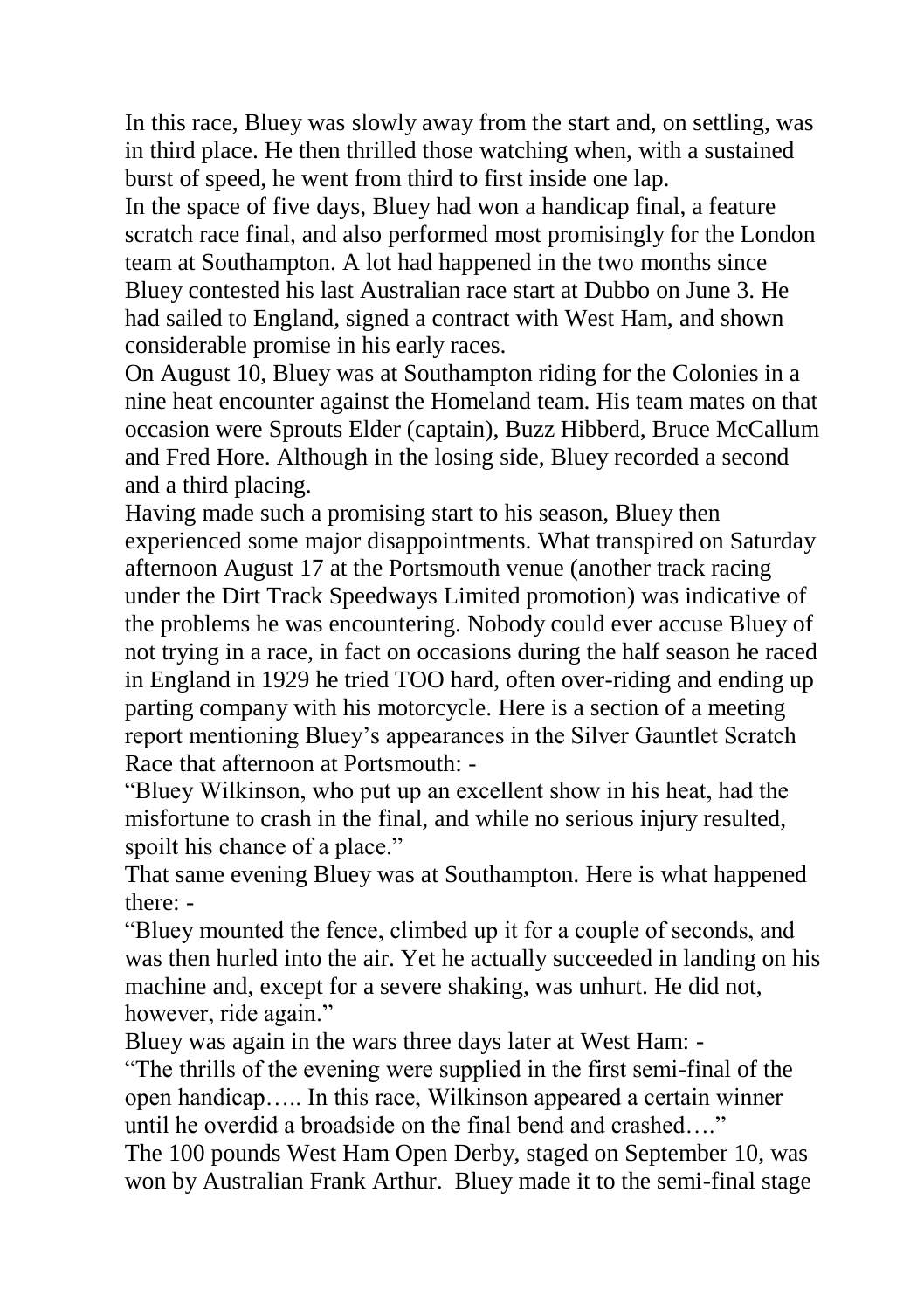In this race, Bluey was slowly away from the start and, on settling, was in third place. He then thrilled those watching when, with a sustained burst of speed, he went from third to first inside one lap.

In the space of five days, Bluey had won a handicap final, a feature scratch race final, and also performed most promisingly for the London team at Southampton. A lot had happened in the two months since Bluey contested his last Australian race start at Dubbo on June 3. He had sailed to England, signed a contract with West Ham, and shown considerable promise in his early races.

On August 10, Bluey was at Southampton riding for the Colonies in a nine heat encounter against the Homeland team. His team mates on that occasion were Sprouts Elder (captain), Buzz Hibberd, Bruce McCallum and Fred Hore. Although in the losing side, Bluey recorded a second and a third placing.

Having made such a promising start to his season, Bluey then experienced some major disappointments. What transpired on Saturday afternoon August 17 at the Portsmouth venue (another track racing under the Dirt Track Speedways Limited promotion) was indicative of the problems he was encountering. Nobody could ever accuse Bluey of not trying in a race, in fact on occasions during the half season he raced in England in 1929 he tried TOO hard, often over-riding and ending up parting company with his motorcycle. Here is a section of a meeting report mentioning Bluey's appearances in the Silver Gauntlet Scratch Race that afternoon at Portsmouth: -

"Bluey Wilkinson, who put up an excellent show in his heat, had the misfortune to crash in the final, and while no serious injury resulted, spoilt his chance of a place."

That same evening Bluey was at Southampton. Here is what happened there: -

"Bluey mounted the fence, climbed up it for a couple of seconds, and was then hurled into the air. Yet he actually succeeded in landing on his machine and, except for a severe shaking, was unhurt. He did not, however, ride again."

Bluey was again in the wars three days later at West Ham: -

"The thrills of the evening were supplied in the first semi-final of the open handicap….. In this race, Wilkinson appeared a certain winner until he overdid a broadside on the final bend and crashed…."

The 100 pounds West Ham Open Derby, staged on September 10, was won by Australian Frank Arthur. Bluey made it to the semi-final stage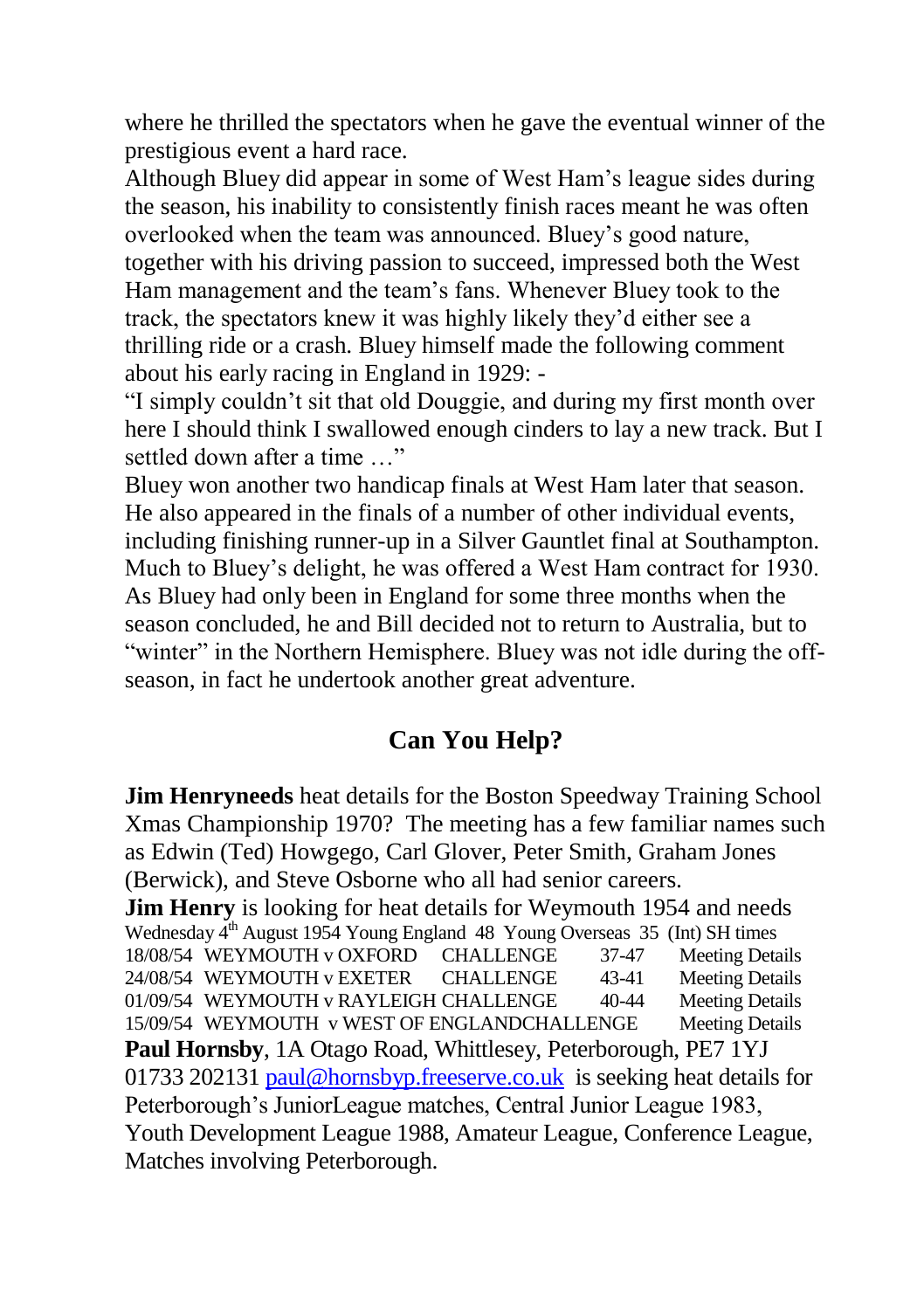where he thrilled the spectators when he gave the eventual winner of the prestigious event a hard race.

Although Bluey did appear in some of West Ham's league sides during the season, his inability to consistently finish races meant he was often overlooked when the team was announced. Bluey's good nature, together with his driving passion to succeed, impressed both the West Ham management and the team's fans. Whenever Bluey took to the track, the spectators knew it was highly likely they'd either see a thrilling ride or a crash. Bluey himself made the following comment about his early racing in England in 1929: -

"I simply couldn't sit that old Douggie, and during my first month over here I should think I swallowed enough cinders to lay a new track. But I settled down after a time  $\cdots$ 

Bluey won another two handicap finals at West Ham later that season. He also appeared in the finals of a number of other individual events, including finishing runner-up in a Silver Gauntlet final at Southampton. Much to Bluey's delight, he was offered a West Ham contract for 1930. As Bluey had only been in England for some three months when the season concluded, he and Bill decided not to return to Australia, but to "winter" in the Northern Hemisphere. Bluey was not idle during the offseason, in fact he undertook another great adventure.

#### **Can You Help?**

**Jim Henryneeds** heat details for the Boston Speedway Training School Xmas Championship 1970? The meeting has a few familiar names such as Edwin (Ted) Howgego, Carl Glover, Peter Smith, Graham Jones (Berwick), and Steve Osborne who all had senior careers. **Jim Henry** is looking for heat details for Weymouth 1954 and needs Wednesday 4<sup>th</sup> August 1954 Young England 48 Young Overseas 35 (Int) SH times 18/08/54 WEYMOUTH v OXFORD CHALLENGE 37-47 Meeting Details 24/08/54 WEYMOUTH v EXETER CHALLENGE 43-41 Meeting Details 01/09/54 WEYMOUTH v RAYLEIGH CHALLENGE 40-44 Meeting Details 15/09/54 WEYMOUTH v WEST OF ENGLANDCHALLENGE Meeting Details **Paul Hornsby**, 1A Otago Road, Whittlesey, Peterborough, PE7 1YJ 01733 20213[1 paul@hornsbyp.freeserve.co.uk](mailto:paul@hornsbyp.freeserve.co.uk) is seeking heat details for Peterborough's JuniorLeague matches, Central Junior League 1983, Youth Development League 1988, Amateur League, Conference League, Matches involving Peterborough.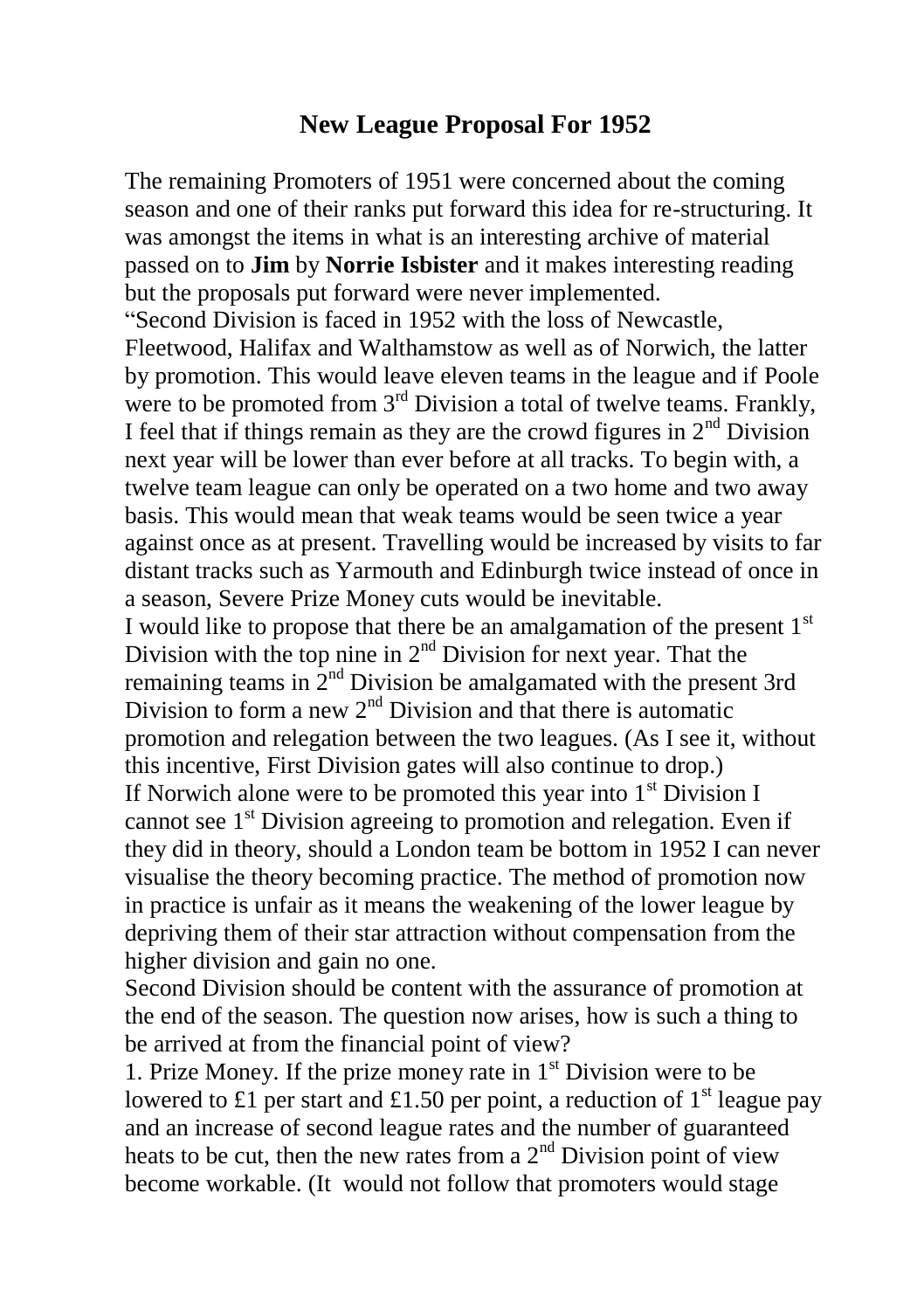#### **New League Proposal For 1952**

The remaining Promoters of 1951 were concerned about the coming season and one of their ranks put forward this idea for re-structuring. It was amongst the items in what is an interesting archive of material passed on to **Jim** by **Norrie Isbister** and it makes interesting reading but the proposals put forward were never implemented. "Second Division is faced in 1952 with the loss of Newcastle, Fleetwood, Halifax and Walthamstow as well as of Norwich, the latter by promotion. This would leave eleven teams in the league and if Poole were to be promoted from  $3<sup>rd</sup>$  Division a total of twelve teams. Frankly, I feel that if things remain as they are the crowd figures in  $2<sup>nd</sup>$  Division next year will be lower than ever before at all tracks. To begin with, a twelve team league can only be operated on a two home and two away basis. This would mean that weak teams would be seen twice a year against once as at present. Travelling would be increased by visits to far distant tracks such as Yarmouth and Edinburgh twice instead of once in a season, Severe Prize Money cuts would be inevitable. I would like to propose that there be an amalgamation of the present  $1<sup>st</sup>$ Division with the top nine in 2nd Division for next year. That the remaining teams in  $2<sup>nd</sup>$  Division be amalgamated with the present 3rd Division to form a new  $2<sup>nd</sup>$  Division and that there is automatic promotion and relegation between the two leagues. (As I see it, without this incentive, First Division gates will also continue to drop.) If Norwich alone were to be promoted this year into  $1<sup>st</sup>$  Division I cannot see  $1<sup>st</sup>$  Division agreeing to promotion and relegation. Even if they did in theory, should a London team be bottom in 1952 I can never visualise the theory becoming practice. The method of promotion now in practice is unfair as it means the weakening of the lower league by depriving them of their star attraction without compensation from the higher division and gain no one.

Second Division should be content with the assurance of promotion at the end of the season. The question now arises, how is such a thing to be arrived at from the financial point of view?

1. Prize Money. If the prize money rate in  $1<sup>st</sup>$  Division were to be lowered to £1 per start and £1.50 per point, a reduction of  $1<sup>st</sup>$  league pay and an increase of second league rates and the number of guaranteed heats to be cut, then the new rates from a  $2<sup>nd</sup>$  Division point of view become workable. (It would not follow that promoters would stage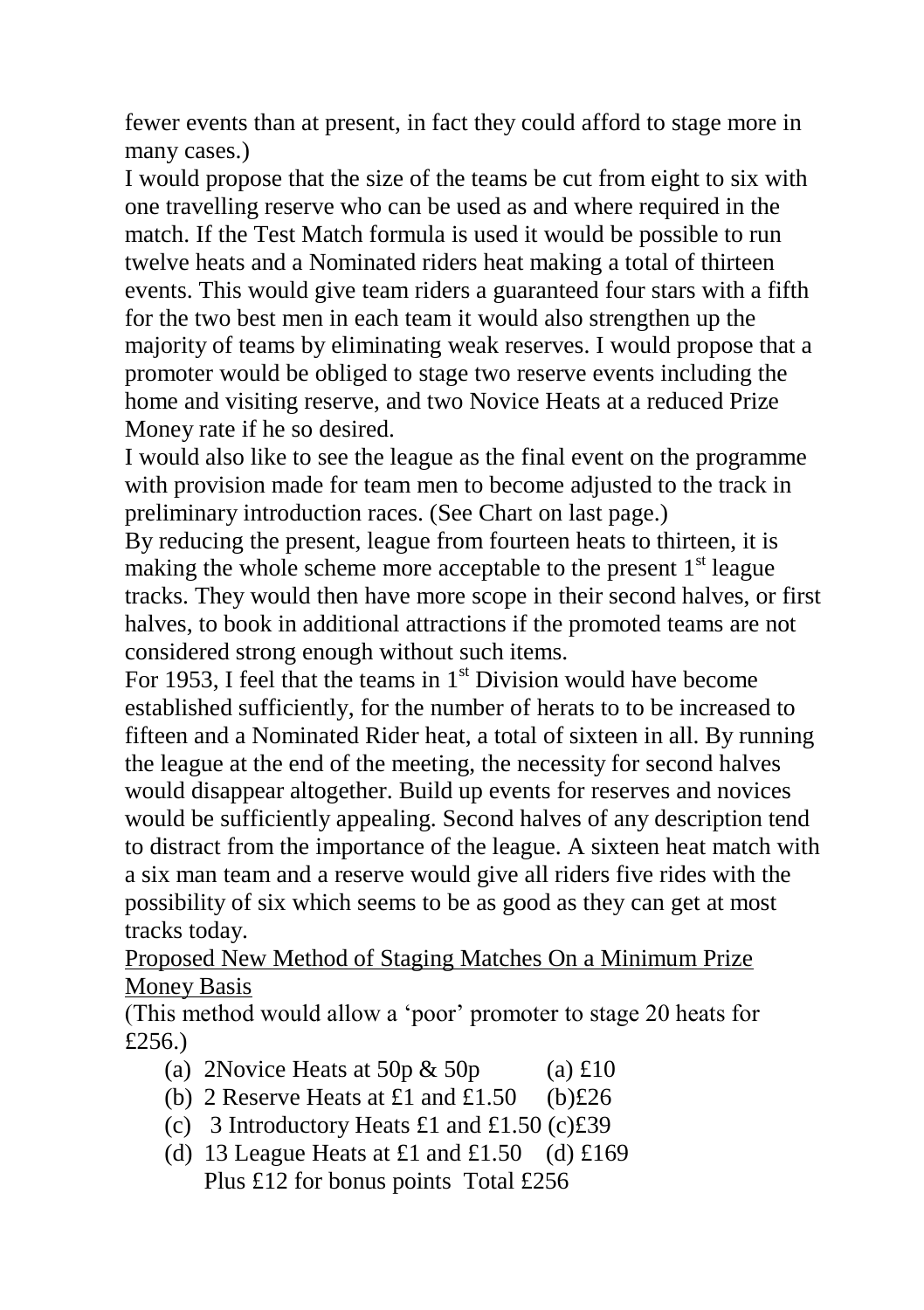fewer events than at present, in fact they could afford to stage more in many cases.)

I would propose that the size of the teams be cut from eight to six with one travelling reserve who can be used as and where required in the match. If the Test Match formula is used it would be possible to run twelve heats and a Nominated riders heat making a total of thirteen events. This would give team riders a guaranteed four stars with a fifth for the two best men in each team it would also strengthen up the majority of teams by eliminating weak reserves. I would propose that a promoter would be obliged to stage two reserve events including the home and visiting reserve, and two Novice Heats at a reduced Prize Money rate if he so desired.

I would also like to see the league as the final event on the programme with provision made for team men to become adjusted to the track in preliminary introduction races. (See Chart on last page.)

By reducing the present, league from fourteen heats to thirteen, it is making the whole scheme more acceptable to the present  $1<sup>st</sup>$  league tracks. They would then have more scope in their second halves, or first halves, to book in additional attractions if the promoted teams are not considered strong enough without such items.

For 1953, I feel that the teams in  $1<sup>st</sup>$  Division would have become established sufficiently, for the number of herats to to be increased to fifteen and a Nominated Rider heat, a total of sixteen in all. By running the league at the end of the meeting, the necessity for second halves would disappear altogether. Build up events for reserves and novices would be sufficiently appealing. Second halves of any description tend to distract from the importance of the league. A sixteen heat match with a six man team and a reserve would give all riders five rides with the possibility of six which seems to be as good as they can get at most tracks today.

Proposed New Method of Staging Matches On a Minimum Prize Money Basis

(This method would allow a 'poor' promoter to stage 20 heats for £256.)

- (a) 2Novice Heats at 50p  $\&$  50p (a) £10
- (b) 2 Reserve Heats at £1 and £1.50 (b) $\text{\pounds}26$
- (c) 3 Introductory Heats £1 and £1.50 (c) $\text{\pounds}39$
- (d) 13 League Heats at £1 and £1.50 (d) £169 Plus £12 for bonus points Total £256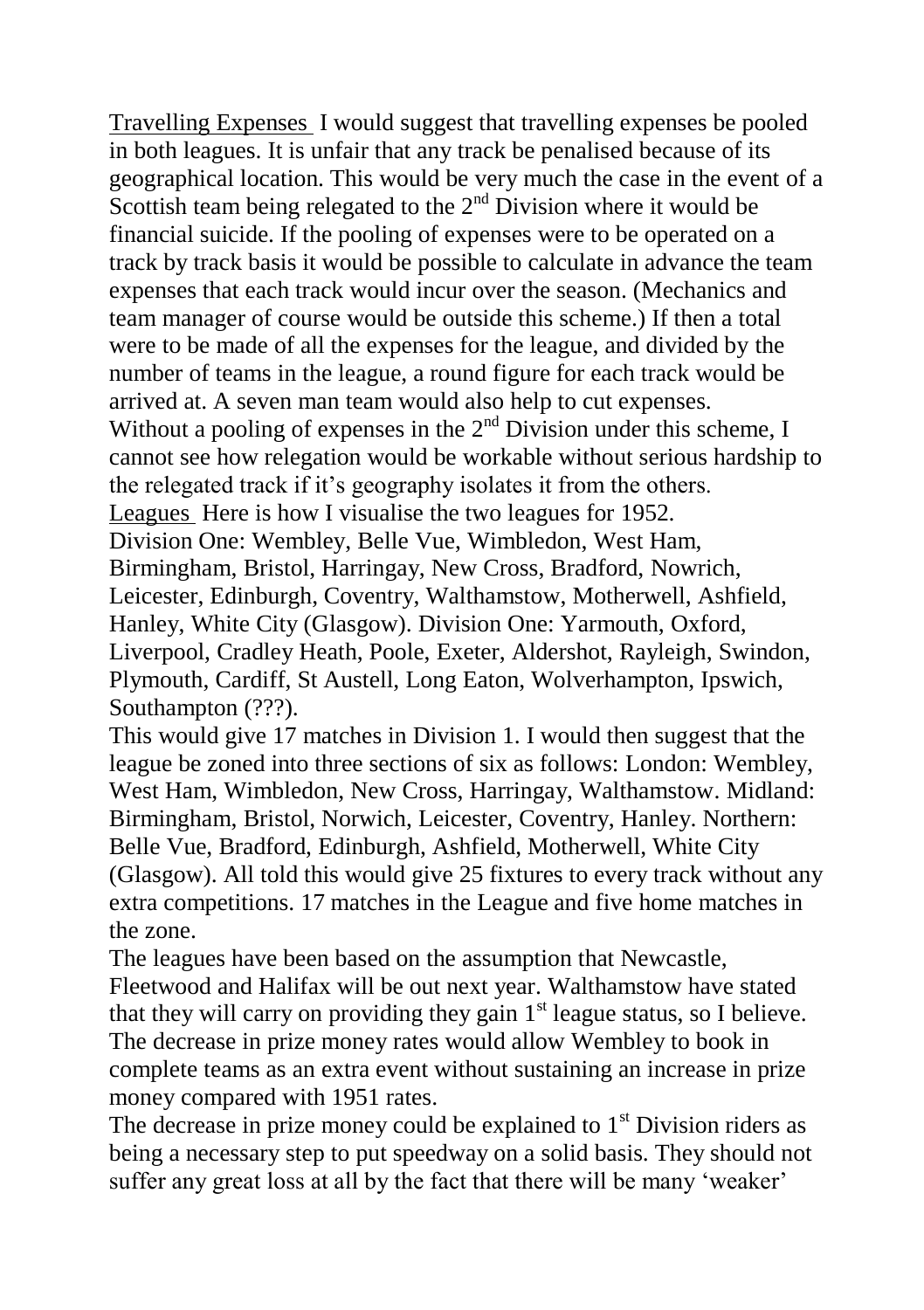Travelling Expenses I would suggest that travelling expenses be pooled in both leagues. It is unfair that any track be penalised because of its geographical location. This would be very much the case in the event of a Scottish team being relegated to the  $2<sup>nd</sup>$  Division where it would be financial suicide. If the pooling of expenses were to be operated on a track by track basis it would be possible to calculate in advance the team expenses that each track would incur over the season. (Mechanics and team manager of course would be outside this scheme.) If then a total were to be made of all the expenses for the league, and divided by the number of teams in the league, a round figure for each track would be arrived at. A seven man team would also help to cut expenses. Without a pooling of expenses in the  $2<sup>nd</sup>$  Division under this scheme, I cannot see how relegation would be workable without serious hardship to the relegated track if it's geography isolates it from the others. Leagues Here is how I visualise the two leagues for 1952. Division One: Wembley, Belle Vue, Wimbledon, West Ham, Birmingham, Bristol, Harringay, New Cross, Bradford, Nowrich, Leicester, Edinburgh, Coventry, Walthamstow, Motherwell, Ashfield, Hanley, White City (Glasgow). Division One: Yarmouth, Oxford, Liverpool, Cradley Heath, Poole, Exeter, Aldershot, Rayleigh, Swindon, Plymouth, Cardiff, St Austell, Long Eaton, Wolverhampton, Ipswich, Southampton (???).

This would give 17 matches in Division 1. I would then suggest that the league be zoned into three sections of six as follows: London: Wembley, West Ham, Wimbledon, New Cross, Harringay, Walthamstow. Midland: Birmingham, Bristol, Norwich, Leicester, Coventry, Hanley. Northern: Belle Vue, Bradford, Edinburgh, Ashfield, Motherwell, White City (Glasgow). All told this would give 25 fixtures to every track without any extra competitions. 17 matches in the League and five home matches in the zone.

The leagues have been based on the assumption that Newcastle, Fleetwood and Halifax will be out next year. Walthamstow have stated that they will carry on providing they gain  $1<sup>st</sup>$  league status, so I believe. The decrease in prize money rates would allow Wembley to book in complete teams as an extra event without sustaining an increase in prize money compared with 1951 rates.

The decrease in prize money could be explained to  $1<sup>st</sup>$  Division riders as being a necessary step to put speedway on a solid basis. They should not suffer any great loss at all by the fact that there will be many 'weaker'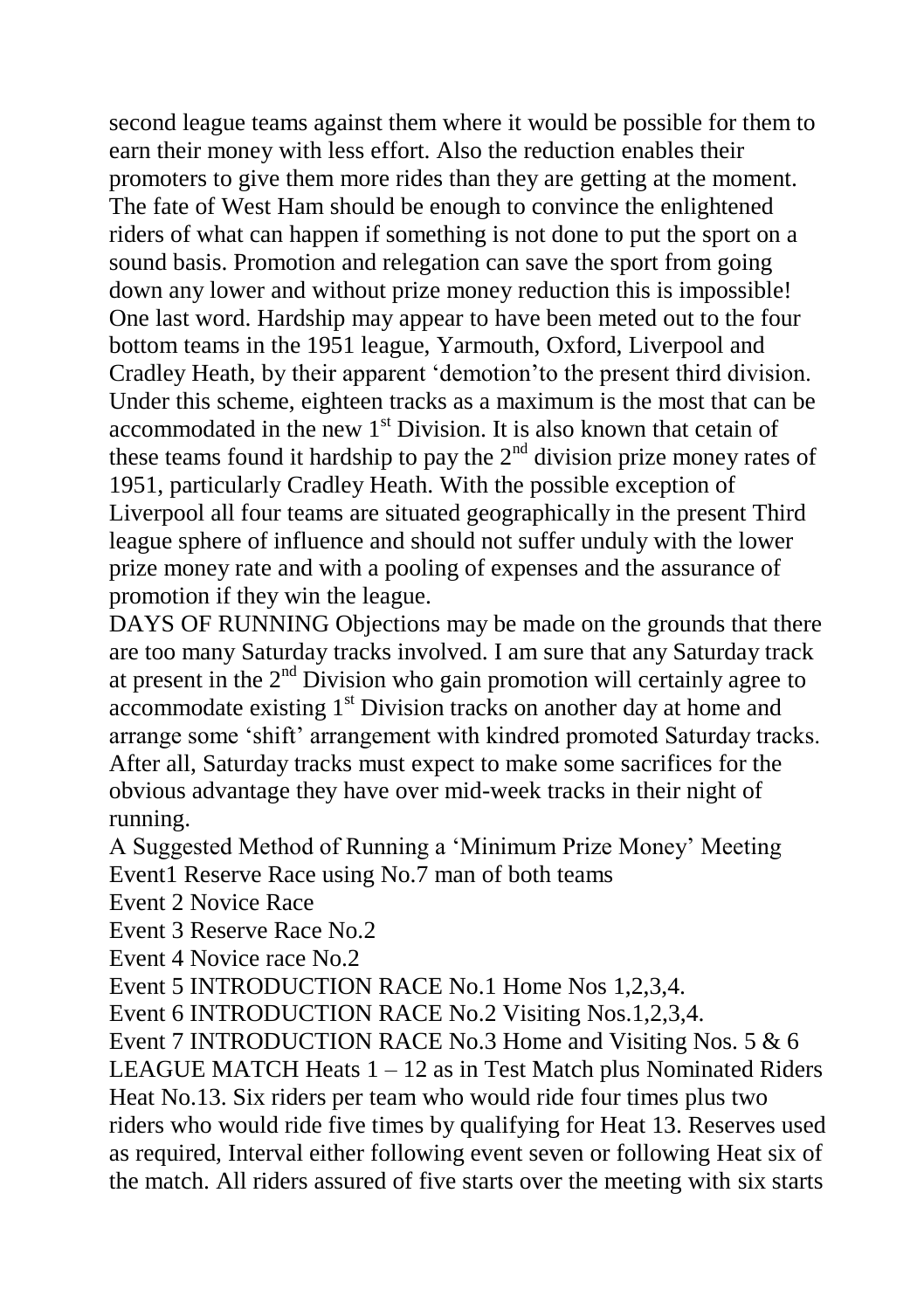second league teams against them where it would be possible for them to earn their money with less effort. Also the reduction enables their promoters to give them more rides than they are getting at the moment. The fate of West Ham should be enough to convince the enlightened riders of what can happen if something is not done to put the sport on a sound basis. Promotion and relegation can save the sport from going down any lower and without prize money reduction this is impossible! One last word. Hardship may appear to have been meted out to the four bottom teams in the 1951 league, Yarmouth, Oxford, Liverpool and Cradley Heath, by their apparent 'demotion'to the present third division. Under this scheme, eighteen tracks as a maximum is the most that can be accommodated in the new  $1<sup>st</sup>$  Division. It is also known that cetain of these teams found it hardship to pay the  $2<sup>nd</sup>$  division prize money rates of 1951, particularly Cradley Heath. With the possible exception of Liverpool all four teams are situated geographically in the present Third league sphere of influence and should not suffer unduly with the lower prize money rate and with a pooling of expenses and the assurance of promotion if they win the league.

DAYS OF RUNNING Objections may be made on the grounds that there are too many Saturday tracks involved. I am sure that any Saturday track at present in the  $2<sup>nd</sup>$  Division who gain promotion will certainly agree to accommodate existing 1<sup>st</sup> Division tracks on another day at home and arrange some 'shift' arrangement with kindred promoted Saturday tracks. After all, Saturday tracks must expect to make some sacrifices for the obvious advantage they have over mid-week tracks in their night of running.

A Suggested Method of Running a 'Minimum Prize Money' Meeting Event1 Reserve Race using No.7 man of both teams

Event 2 Novice Race

Event 3 Reserve Race No.2

Event 4 Novice race No.2

Event 5 INTRODUCTION RACE No.1 Home Nos 1,2,3,4.

Event 6 INTRODUCTION RACE No.2 Visiting Nos.1,2,3,4.

Event 7 INTRODUCTION RACE No.3 Home and Visiting Nos. 5 & 6 LEAGUE MATCH Heats  $1 - 12$  as in Test Match plus Nominated Riders Heat No.13. Six riders per team who would ride four times plus two riders who would ride five times by qualifying for Heat 13. Reserves used as required, Interval either following event seven or following Heat six of the match. All riders assured of five starts over the meeting with six starts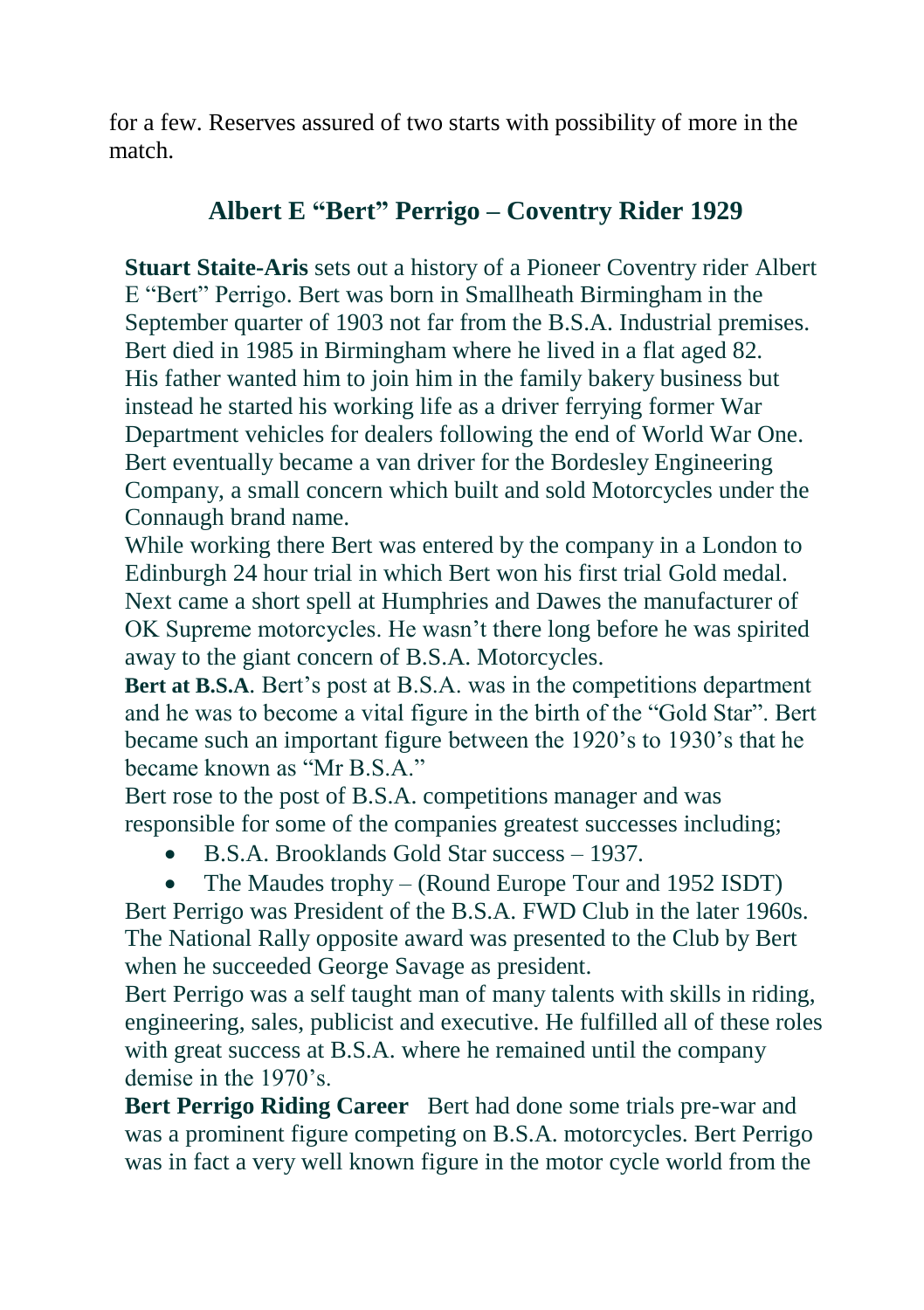for a few. Reserves assured of two starts with possibility of more in the match.

## **Albert E "Bert" Perrigo – Coventry Rider 1929**

**Stuart Staite-Aris** sets out a history of a Pioneer Coventry rider Albert E "Bert" Perrigo. Bert was born in Smallheath Birmingham in the September quarter of 1903 not far from the B.S.A. Industrial premises. Bert died in 1985 in Birmingham where he lived in a flat aged 82. His father wanted him to join him in the family bakery business but instead he started his working life as a driver ferrying former War Department vehicles for dealers following the end of World War One. Bert eventually became a van driver for the Bordesley Engineering Company, a small concern which built and sold Motorcycles under the Connaugh brand name.

While working there Bert was entered by the company in a London to Edinburgh 24 hour trial in which Bert won his first trial Gold medal. Next came a short spell at Humphries and Dawes the manufacturer of OK Supreme motorcycles. He wasn't there long before he was spirited away to the giant concern of B.S.A. Motorcycles.

**Bert at B.S.A**. Bert's post at B.S.A. was in the competitions department and he was to become a vital figure in the birth of the "Gold Star". Bert became such an important figure between the 1920's to 1930's that he became known as "Mr B.S.A."

Bert rose to the post of B.S.A. competitions manager and was responsible for some of the companies greatest successes including;

- B.S.A. Brooklands Gold Star success 1937.
- The Maudes trophy (Round Europe Tour and 1952 ISDT)

Bert Perrigo was President of the B.S.A. FWD Club in the later 1960s. The National Rally opposite award was presented to the Club by Bert when he succeeded George Savage as president.

Bert Perrigo was a self taught man of many talents with skills in riding, engineering, sales, publicist and executive. He fulfilled all of these roles with great success at B.S.A. where he remained until the company demise in the 1970's.

**Bert Perrigo Riding Career** Bert had done some trials pre-war and was a prominent figure competing on B.S.A. motorcycles. Bert Perrigo was in fact a very well known figure in the motor cycle world from the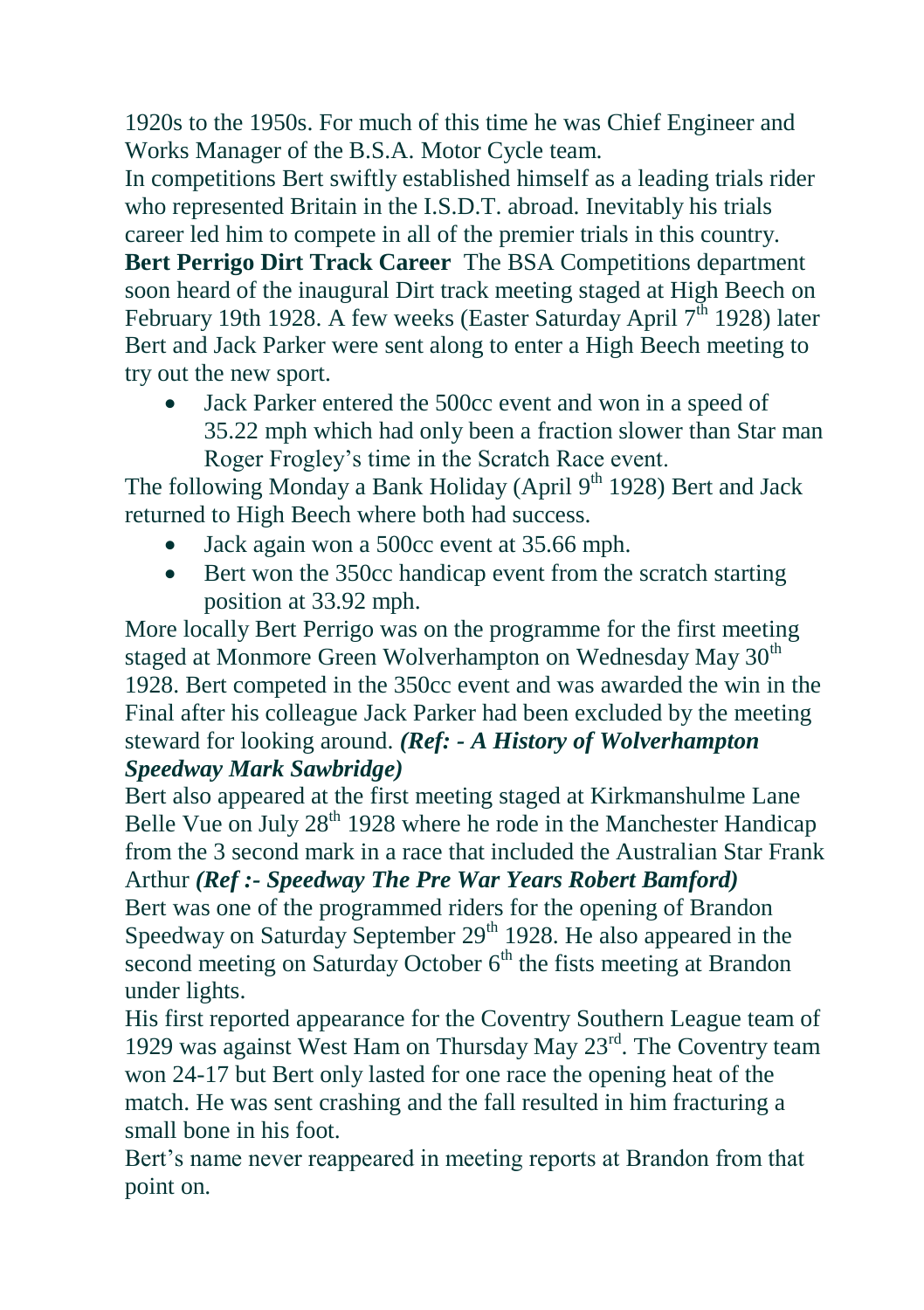1920s to the 1950s. For much of this time he was Chief Engineer and Works Manager of the B.S.A. Motor Cycle team.

In competitions Bert swiftly established himself as a leading trials rider who represented Britain in the I.S.D.T. abroad. Inevitably his trials career led him to compete in all of the premier trials in this country.

**Bert Perrigo Dirt Track Career** The BSA Competitions department soon heard of the inaugural Dirt track meeting staged at High Beech on February 19th 1928. A few weeks (Easter Saturday April  $7<sup>th</sup>$  1928) later Bert and Jack Parker were sent along to enter a High Beech meeting to try out the new sport.

 Jack Parker entered the 500cc event and won in a speed of 35.22 mph which had only been a fraction slower than Star man Roger Frogley's time in the Scratch Race event.

The following Monday a Bank Holiday (April  $9<sup>th</sup>$  1928) Bert and Jack returned to High Beech where both had success.

- Jack again won a 500cc event at 35.66 mph.
- Bert won the 350cc handicap event from the scratch starting position at 33.92 mph.

More locally Bert Perrigo was on the programme for the first meeting staged at Monmore Green Wolverhampton on Wednesday May 30<sup>th</sup> 1928. Bert competed in the 350cc event and was awarded the win in the Final after his colleague Jack Parker had been excluded by the meeting steward for looking around. *(Ref: - A History of Wolverhampton Speedway Mark Sawbridge)*

Bert also appeared at the first meeting staged at Kirkmanshulme Lane Belle Vue on July  $28<sup>th</sup> 1928$  where he rode in the Manchester Handicap from the 3 second mark in a race that included the Australian Star Frank Arthur *(Ref :- Speedway The Pre War Years Robert Bamford)* Bert was one of the programmed riders for the opening of Brandon Speedway on Saturday September  $29<sup>th</sup>$  1928. He also appeared in the second meeting on Saturday October  $6<sup>th</sup>$  the fists meeting at Brandon under lights.

His first reported appearance for the Coventry Southern League team of 1929 was against West Ham on Thursday May  $23<sup>rd</sup>$ . The Coventry team won 24-17 but Bert only lasted for one race the opening heat of the match. He was sent crashing and the fall resulted in him fracturing a small bone in his foot.

Bert's name never reappeared in meeting reports at Brandon from that point on.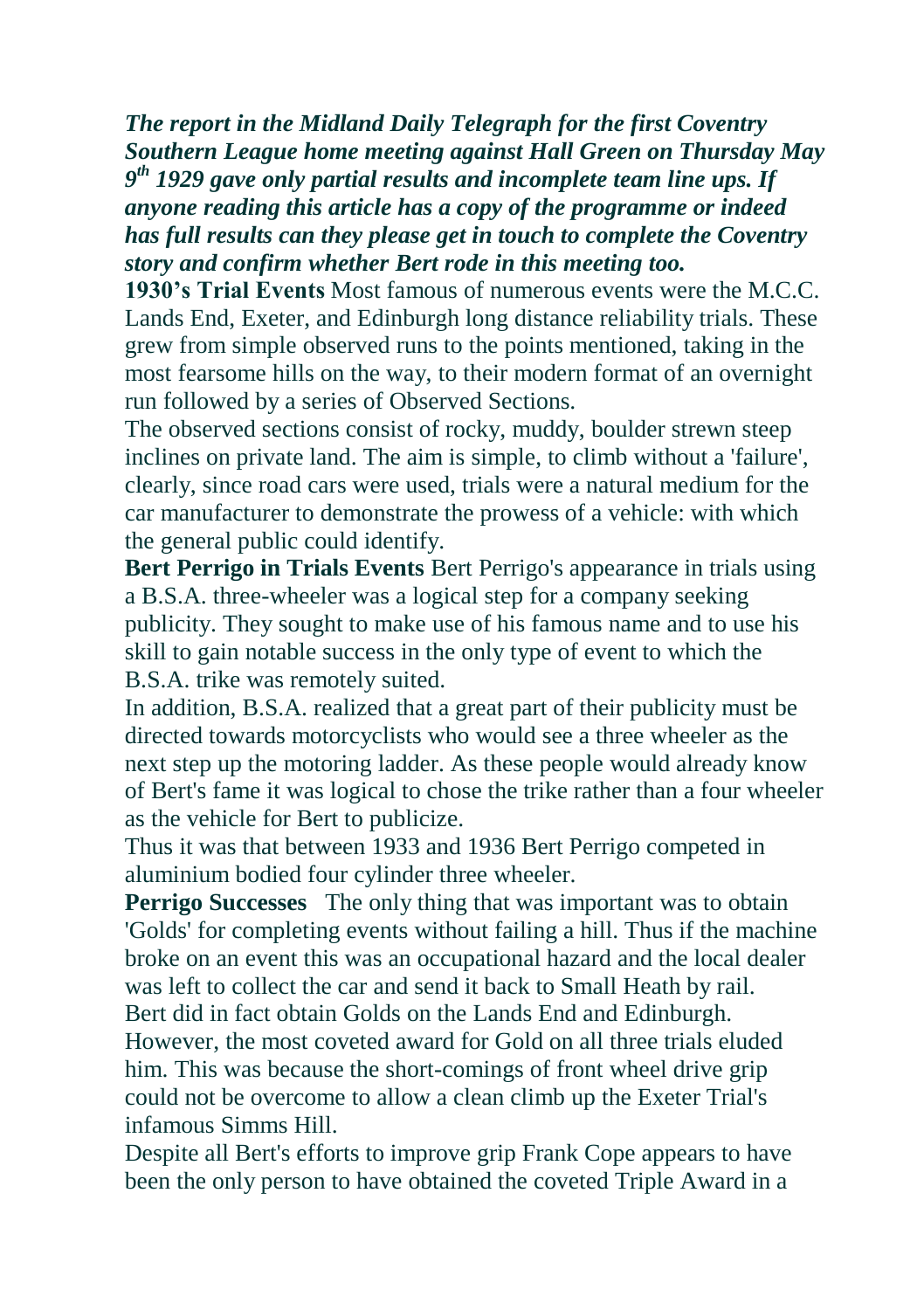*The report in the Midland Daily Telegraph for the first Coventry Southern League home meeting against Hall Green on Thursday May 9 th 1929 gave only partial results and incomplete team line ups. If anyone reading this article has a copy of the programme or indeed has full results can they please get in touch to complete the Coventry story and confirm whether Bert rode in this meeting too.*

**1930's Trial Events** Most famous of numerous events were the M.C.C. Lands End, Exeter, and Edinburgh long distance reliability trials. These grew from simple observed runs to the points mentioned, taking in the most fearsome hills on the way, to their modern format of an overnight run followed by a series of Observed Sections.

The observed sections consist of rocky, muddy, boulder strewn steep inclines on private land. The aim is simple, to climb without a 'failure', clearly, since road cars were used, trials were a natural medium for the car manufacturer to demonstrate the prowess of a vehicle: with which the general public could identify.

**Bert Perrigo in Trials Events** Bert Perrigo's appearance in trials using a B.S.A. three-wheeler was a logical step for a company seeking publicity. They sought to make use of his famous name and to use his skill to gain notable success in the only type of event to which the B.S.A. trike was remotely suited.

In addition, B.S.A. realized that a great part of their publicity must be directed towards motorcyclists who would see a three wheeler as the next step up the motoring ladder. As these people would already know of Bert's fame it was logical to chose the trike rather than a four wheeler as the vehicle for Bert to publicize.

Thus it was that between 1933 and 1936 Bert Perrigo competed in aluminium bodied four cylinder three wheeler.

**Perrigo Successes** The only thing that was important was to obtain 'Golds' for completing events without failing a hill. Thus if the machine broke on an event this was an occupational hazard and the local dealer was left to collect the car and send it back to Small Heath by rail. Bert did in fact obtain Golds on the Lands End and Edinburgh.

However, the most coveted award for Gold on all three trials eluded him. This was because the short-comings of front wheel drive grip could not be overcome to allow a clean climb up the Exeter Trial's infamous Simms Hill.

Despite all Bert's efforts to improve grip Frank Cope appears to have been the only person to have obtained the coveted Triple Award in a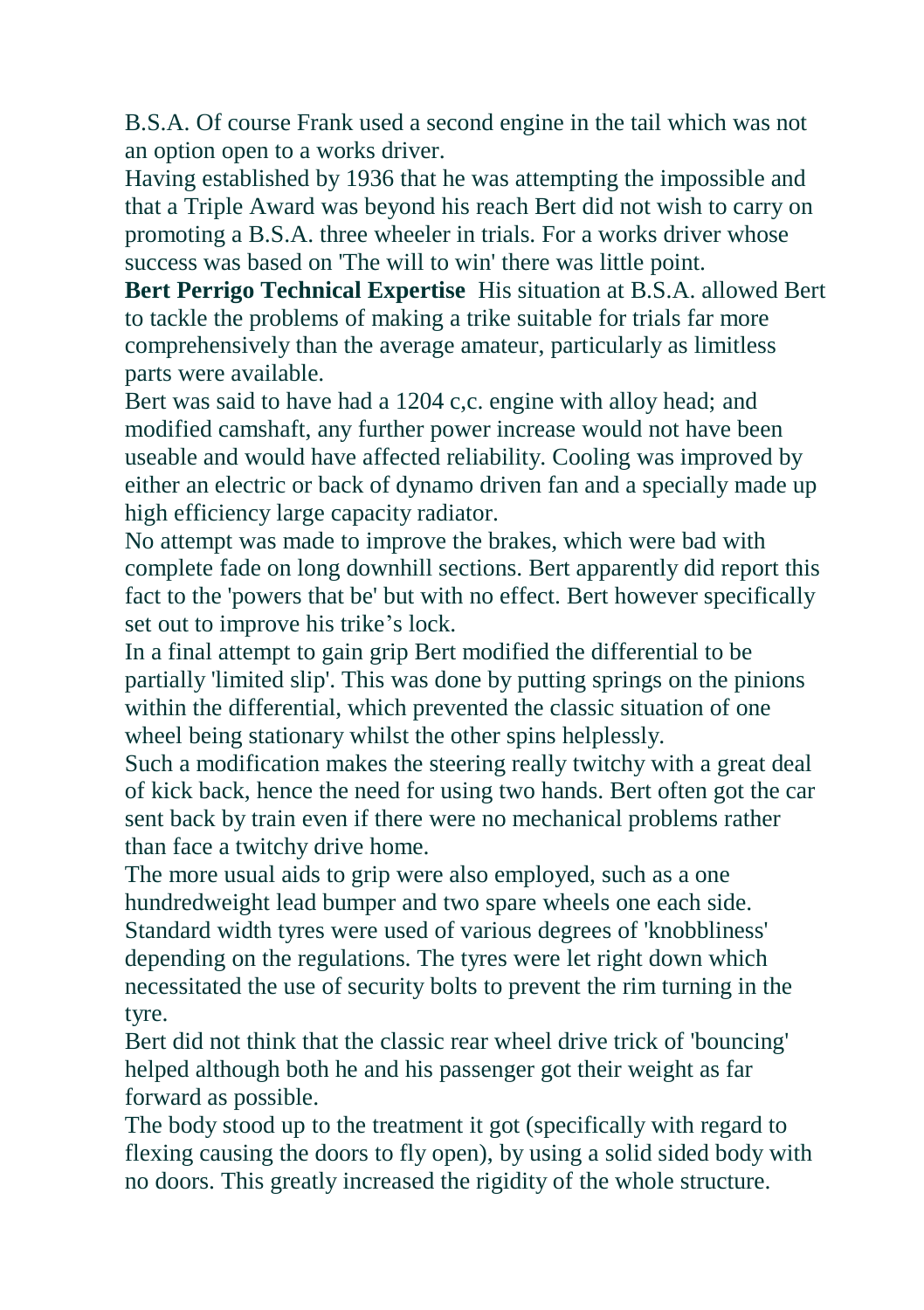B.S.A. Of course Frank used a second engine in the tail which was not an option open to a works driver.

Having established by 1936 that he was attempting the impossible and that a Triple Award was beyond his reach Bert did not wish to carry on promoting a B.S.A. three wheeler in trials. For a works driver whose success was based on 'The will to win' there was little point.

**Bert Perrigo Technical Expertise** His situation at B.S.A. allowed Bert to tackle the problems of making a trike suitable for trials far more comprehensively than the average amateur, particularly as limitless parts were available.

Bert was said to have had a 1204 c,c. engine with alloy head; and modified camshaft, any further power increase would not have been useable and would have affected reliability. Cooling was improved by either an electric or back of dynamo driven fan and a specially made up high efficiency large capacity radiator.

No attempt was made to improve the brakes, which were bad with complete fade on long downhill sections. Bert apparently did report this fact to the 'powers that be' but with no effect. Bert however specifically set out to improve his trike's lock.

In a final attempt to gain grip Bert modified the differential to be partially 'limited slip'. This was done by putting springs on the pinions within the differential, which prevented the classic situation of one wheel being stationary whilst the other spins helplessly.

Such a modification makes the steering really twitchy with a great deal of kick back, hence the need for using two hands. Bert often got the car sent back by train even if there were no mechanical problems rather than face a twitchy drive home.

The more usual aids to grip were also employed, such as a one hundredweight lead bumper and two spare wheels one each side. Standard width tyres were used of various degrees of 'knobbliness' depending on the regulations. The tyres were let right down which necessitated the use of security bolts to prevent the rim turning in the tyre.

Bert did not think that the classic rear wheel drive trick of 'bouncing' helped although both he and his passenger got their weight as far forward as possible.

The body stood up to the treatment it got (specifically with regard to flexing causing the doors to fly open), by using a solid sided body with no doors. This greatly increased the rigidity of the whole structure.